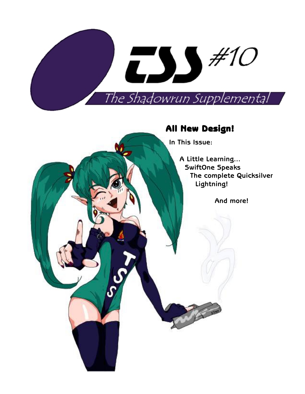

# **All New Design! New Design!**

**In This Issue:**

**A Little Learning... SwiftOne Speaks The complete Quicksilver Lightning!**

**And more!**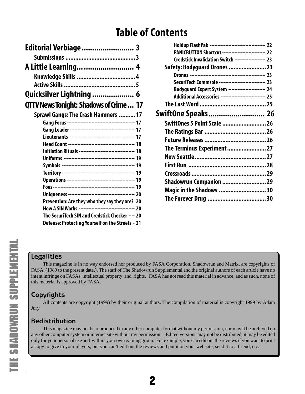# **Table of Contents**

| Editorial Verbiage  3                                            |  |
|------------------------------------------------------------------|--|
|                                                                  |  |
| A Little Learning  4                                             |  |
|                                                                  |  |
|                                                                  |  |
| Quicksilver Lightning  6                                         |  |
| <b>QTTV News Tonight: Shadows of Crime  17</b>                   |  |
| <b>Sprawl Gangs: The Crash Hammers  17</b>                       |  |
|                                                                  |  |
|                                                                  |  |
|                                                                  |  |
|                                                                  |  |
| <b>Initiation Rituals ----------------------------------- 18</b> |  |
|                                                                  |  |
|                                                                  |  |
|                                                                  |  |
|                                                                  |  |
|                                                                  |  |
|                                                                  |  |
| Prevention: Are they who they say they are? 20                   |  |
|                                                                  |  |
| The SecuriTech SIN and Credstick Checker ---- 20                 |  |
| Defense: Protecting Yourself on the Streets - 21                 |  |

| Holdup FlashPak ----------------------------------- 22  |  |
|---------------------------------------------------------|--|
| PANICBUTTON Shortcut ---------------------------- 22    |  |
| Credstick Invalidation Switch -------------------- 23   |  |
| Safety: Bodyguard Drones  23                            |  |
|                                                         |  |
| SecuriTech Commsole ----------------------------- 23    |  |
| Bodyguard Expert System ----------------------- 24      |  |
| Additional Accessories ----------------------------- 25 |  |
|                                                         |  |
|                                                         |  |
| SwiftOnes 5 Point Scale  26                             |  |
|                                                         |  |
|                                                         |  |
| The Terminus Experiment 27                              |  |
|                                                         |  |
|                                                         |  |
|                                                         |  |
| Shadowrun Companion  29                                 |  |
| Magic in the Shadows  30                                |  |
|                                                         |  |
|                                                         |  |

# **Legalities**

This magazine is in no way endorsed nor produced by FASA Corporation. Shadowrun and Matrix, are copyrights of FASA (1989 to the present date.). The staff of The Shadowrun Supplemental and the original authors of each article have no intent infringe on FASAs intellectual property and rights. FASA has not read this material in advance, and as such, none o f this material is approved by FASA.

# **Copyrights**

All contents are copyright (1999) by their original authors. The compilation of material is copyright 1999 by Adam Jury.

# **Redistribution**

This magazine may not be reproduced in any other computer format without my permission, nor may it be archived on any other computer system or internet site without my permission. Edited versions may not be distributed, it may be edited only for your personal use and within your own gaming group. For example, you can edit out the reviews if you want to print a copy to give to your players, but you can't edit out the reviews and put it on your web site, send it to a friend, etc.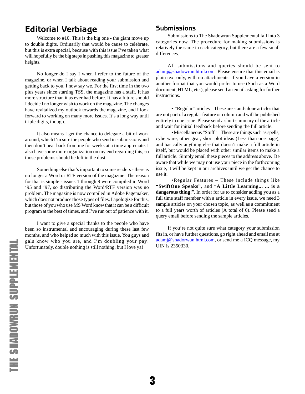# <span id="page-2-0"></span>**Editorial Verbiage**

Welcome to #10. This is the big one - the giant move up to double digits. Ordinarily that would be cause to celebrate, but this is extra special, because with this issue I've taken what will hopefully be the big steps in pushing this magazine to greater heights.

No longer do I say I when I refer to the future of the magazine, or when I talk about reading your submission and getting back to you, I now say we. For the first time in the two plus years since starting TSS, the magazine has a staff. It has more structure than it as ever had before. It has a future should I decide I no longer wish to work on the magazine. The changes have revitalized my outlook towards the magazine, and I look forward to working on many more issues. It's a long way until triple digits, though..

It also means I get the chance to delegate a bit of work around, which I'm sure the people who send in submissions and then don't hear back from me for weeks at a time appreciate. I also have some more organization on my end regarding this, so those problems should be left in the dust.

Something else that's important to some readers - there is no longer a Word or RTF version of the magazine. The reason for that is simple - issues 1 through 9 were compiled in Word '95 and '97, so distributing the Word/RTF version was no problem. The magazine is now compiled in Adobe Pagemaker, which does not produce those types of files. I apologize for this, but those of you who use MS Word know that it can be a difficult program at the best of times, and I've run out of patience with it.

I want to give a special thanks to the people who have been so instrumental and encouraging during these last few months, and who helped so much with this issue. You guys and gals know who you are, and I'm doubling your pay! Unfortunately, double nothing is still nothing, but I love ya!

### **Submissions**

Submissions to The Shadowrun Supplemental fall into 3 categories now. The procedure for making submissions is relatively the same in each category, but there are a few small differences.

All submissions and queries should be sent to [adamj@shadowrun.html.com](mailto:adamj@shadowrun.html.com) Please ensure that this email is plain text only, with no attachments. If you have a version in another format that you would prefer to use (Such as a Word document, HTML, etc.), please send an email asking for further instructions.

 • "Regular" articles – These are stand-alone articles that are not part of a regular feature or column and will be published entirely in one issue. Please send a short summary of the article and wait for initial feedback before sending the full article.

 • Miscellaneous "Stuff" – These are things such as spells, cyberware, other gear, short plot ideas (Less than one page), and basically anything else that doesn't make a full article in itself, but would be placed with other similar items to make a full article. Simply email these pieces to the address above. Be aware that while we may not use your piece in the forthcoming issue, it will be kept in our archives until we get the chance to use it.

 • Regular Features – These include things like **"SwiftOne Speaks"**, and "**A Little Learning... ... is a dangerous thing!**". In order for us to consider adding you as a full time staff member with a article in every issue, we need 3 sample articles on your chosen topic, as well as a commitment to a full years worth of articles (A total of 6). Please send a query email before sending the sample articles.

If you're not quite sure what category your submission fits in, or have further questions, go right ahead and email me at [adamj@shadorwun.html.com](mailto:adamj@shadowrun.html.com), or send me a ICQ message, my UIN is 2350330.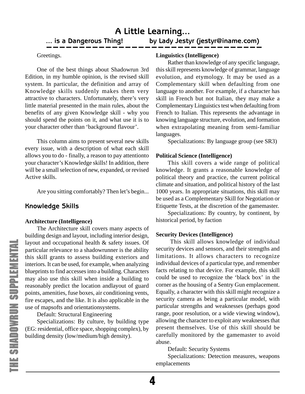#### <span id="page-3-0"></span>Greetings.

One of the best things about Shadowrun 3rd Edition, in my humble opinion, is the revised skill system. In particular, the definition and array of Knowledge skills suddenly makes them very attractive to characters. Unfortunately, there's very little material presented in the main rules, about the benefits of any given Knowledge skill - why you should spend the points on it, and what use it is to your character other than 'background flavour'.

This column aims to present several new skills every issue, with a description of what each skill allows you to do - finally, a reason to pay attentionto your character's Knowledge skills! In addition, there will be a small selection of new, expanded, or revised Active skills.

Are you sitting comfortably? Then let's begin...

# **Knowledge Skills**

#### **Architecture (Intelligence)**

The Architecture skill covers many aspects of building design and layout, including interior design, layout and occupational health & safety issues. Of particular relevance to a shadowrunner is the ability this skill grants to assess building exteriors and interiors. It can be used, for example, when analyzing blueprints to find accesses into a building. Characters may also use this skill when inside a building to reasonably predict the location andlayout of guard points, amenities, fuse boxes, air conditioning vents, fire escapes, and the like. It is also applicable in the use of mapsofts and orientationsystems.

Default: Structural Engineering

Specializations: By culture, by building type (EG: residential, office space, shopping complex), by building density (low/medium/high density).

### **Linguistics (Intelligence)**

Rather than knowledge of any specific language, this skill represents knowledge of grammar, language evolution, and etymology. It may be used as a Complementary skill when defaulting from one language to another. For example, if a character has skill in French but not Italian, they may make a Complementary Linguistics test when defaulting from French to Italian. This represents the advantage in knowing language structure, evolution, and formation when extrapolating meaning from semi-familiar languages.

Specializations: By language group (see SR3)

### **Political Science (Intelligence)**

This skill covers a wide range of political knowledge. It grants a reasonable knowledge of political theory and practice, the current political climate and situation, and political history of the last 1000 years. In appropriate situations, this skill may be used as a Complementary Skill for Negotiation or Etiquette Tests, at the discretion of the gamemaster.

Specializations: By country, by continent, by historical period, by faction

#### **Security Devices (Intelligence)**

 This skill allows knowledge of individual security devices and sensors, and their strengths and limitations. It allows characters to recognize individual devices of a particular type, and remember facts relating to that device. For example, this skill could be used to recognize the 'black box' in the corner as the housing of a Sentry Gun emplacement. Equally, a character with this skill might recognize a security camera as being a particular model, with particular strengths and weaknesses (perhaps good range, poor resolution, or a wide viewing window), allowing the character to exploit any weaknesses that present themselves. Use of this skill should be carefully monitored by the gamemaster to avoid abuse.

Default: Security Systems

Specializations: Detection measures, weapons emplacements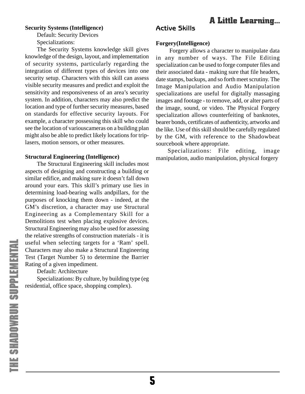# **A Little Learning...**

#### <span id="page-4-0"></span>**Security Systems (Intelligence)**

Default: Security Devices Specializations:

The Security Systems knowledge skill gives knowledge of the design, layout, and implementation of security systems, particularly regarding the integration of different types of devices into one security setup. Characters with this skill can assess visible security measures and predict and exploit the sensitivity and responsiveness of an area's security system. In addition, characters may also predict the location and type of further security measures, based on standards for effective security layouts. For example, a character possessing this skill who could see the location of variouscameras on a building plan might also be able to predict likely locations for triplasers, motion sensors, or other measures.

#### **Structural Engineering (Intelligence)**

The Structural Engineering skill includes most aspects of designing and constructing a building or similar edifice, and making sure it doesn't fall down around your ears. This skill's primary use lies in determining load-bearing walls andpillars, for the purposes of knocking them down - indeed, at the GM's discretion, a character may use Structural Engineering as a Complementary Skill for a Demolitions test when placing explosive devices. Structural Engineering may also be used for assessing the relative strengths of construction materials - it is useful when selecting targets for a 'Ram' spell. Characters may also make a Structural Engineering Test (Target Number 5) to determine the Barrier Rating of a given impediment.

Default: Architecture

Specializations: By culture, by building type (eg residential, office space, shopping complex).

### **Active Skills**

#### **Forgery(Intelligence)**

 Forgery allows a character to manipulate data in any number of ways. The File Editing specialization can be used to forge computer files and their associated data - making sure that file headers, date stamps, backups, and so forth meet scrutiny. The Image Manipulation and Audio Manipulation specializations are useful for digitally massaging images and footage - to remove, add, or alter parts of the image, sound, or video. The Physical Forgery specialization allows counterfeiting of banknotes, bearer bonds, certificates of authenticity, artworks and the like. Use of this skill should be carefully regulated by the GM, with reference to the Shadowbeat sourcebook where appropriate.

Specializations: File editing, image manipulation, audio manipulation, physical forgery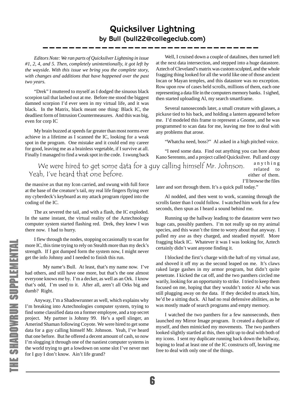# **Quicksilver Lightning by Bull (bull22@collegeclub.com)**

<span id="page-5-0"></span>*Editors Note: We ran parts of Quicksilver Lightning in issue #1, 2, 4, and 5. Then, completely unintentionally, it got left by the wayside. With this issue we bring you the complete story, with changes and additions that have happened over the past two years.*

"Drek" I muttered to myself as I dodged the sinuous black scorpion tail that lashed out at me. Before me stood the biggest damned scorpion I'd ever seen in my virtual life, and it was black. In the Matrix, black meant one thing: Black IC, the deadliest form of Intrusion Countermeasures. And this was big, even for corp IC

My brain buzzed at speeds far greater than most norms ever achieve in a lifetime as I scanned the IC, looking for a weak spot in the program. One mistake and it could end my career for good, leaving me as a brainless vegetable, if I survive at all. Finally I managed to find a weak spot in the code. I swung back

Well, I cruised down a couple of datalines, then turned left at the next data intersection, and stepped into a huge datastore. Aztech of Cleveland's matrix was custom sculpted, and the whole fragging thing looked for all the world like one of those ancient Incan or Mayan temples, and this datastore was no exception. Row upon row of cases held scrolls, millions of them, each one representing a data file in the computers memory banks. I sighed, then started uploading Al, my search smartframe.

Several nanoseconds later, a small creature with glasses, a pickaxe tied to his back, and holding a lantern appeared before me. I'd modeled this frame to represent a Gnome, and he was programmed to scan data for me, leaving me free to deal with any problems that arose.

"Whatcha need, boss?" Al asked in a high pitched voice.

"I need some data. Find out anything you can here about Kano Serennto, and a project called Quicksilver. Pull and copy anything related to either of them. We were hired to get some data for a guy calling himself Mr. Johnson. Yeah, I've heard that one before.

the massive ax that my Icon carried, and swung with full force at the base of the creature's tail, my real life fingers flying over my cyberdeck's keyboard as my attack program ripped into the coding of the IC.

The ax severed the tail, and with a flash, the IC exploded. In the same instant, the virtual reality of the Aztechnology computer system started flashing red. Drek, they knew I was there now. I had to hurry.

I flew through the nodes, stopping occasionally to scan for more IC, this time trying to rely on Stealth more than my deck's strength. If I got dumped form the system now, I might never get the info Johnny and I needed to finish this run.

My name's Bull. At least, that's my name now. I've had others, and still have one more, but that's the one almost everyone knows me by. I'm a decker, as well as an Ork. I know that's odd, I'm used to it. After all, aren't all Orks big and dumb? Right.

Anyway, I'm a Shadowrunner as well, which explains why I'm breaking into Aztechnologies computer system, trying to find some classified data on a former employee, and a top secret project. My partner is Johnny 99. He's a spell slinger, an Amerind Shaman following Coyote. We were hired to get some data for a guy calling himself Mr. Johnson. Yeah, I've heard that one before. But he offered a decent amount of cash, so now I'm slogging it through one of the nastiest computer systems in the world trying to get a lowdown on some slot I've never met for I guy I don't know. Ain't life grand?

I'll browse the files

later and sort through them. It's a quick pull today."

Al nodded, and then went to work, scanning through the scrolls faster than I could follow. I watched him work for a few seconds, then spun as I heard a sound behind me.

Running up the hallway leading to the datastore were two huge cats, possibly panthers. I'm not really up on my animal species, and this wasn't the time to worry about that anyway. I pulled my axe as they charged, and steadied myself. More fragging black IC. Whatever it was I was looking for, Aztech certainly didn't want anyone finding it.

I blocked the first's charge with the haft of my virtual axe, and shoved it off my as the second leaped on me. It's claws raked large gashes in my armor program, but didn't quite penetrate. I kicked the cat off, and the two panthers circled me warily, looking for an opportunity to strike. I tried to keep them focused on me, hoping that they wouldn't notice Al who was still plugging away on the data. If they decided to attack him, he'd be a sitting duck. Al had no real defensive abilities, as he was mostly made of search programs and empty memory.

I watched the two panthers for a few nanoseconds, then launched my Mirror Image program. It created a duplicate of myself, and then mimicked my movements. The two panthers looked slightly startled at this, then split up to deal with both of my icons. I sent my duplicate running back down the hallway, hoping to lead at least one of the IC constructs off, leaving me free to deal with only one of the things.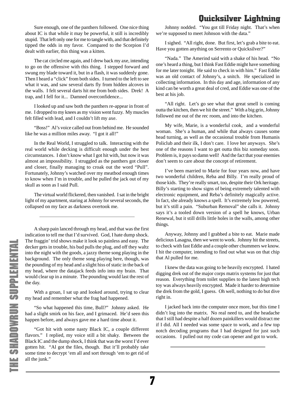Sure enough, one of the panthers followed. One nice thing about IC is that while it may be powerful, it still is incredibly stupid. That left only one for me to tangle with, and that definitely tipped the odds in my favor. Compared to the Scorpion I'd dealt with earlier, this thing was a kitten.

The cat circled me again, and I drew back my axe, intending to go on the offensive with this thing. I stepped forward and swung my blade toward it, but in a flash, it was suddenly gone. Then I heard a "click" from both sides. I turned to the left to see what it was, and saw several darts fly from hidden alcoves in the walls. I felt several darts hit me from both sides. Drek! A trap, and I fell for it... Damned overconfidence...

I looked up and saw both the panthers re-appear in front of me. I dropped to my knees as my vision went fuzzy. My muscles felt filled with lead, and I couldn't lift my axe.

"Boss!" Al's voice called out from behind me. He sounded like he was a million miles away. "I got it all!"

In the Real World, I struggled to talk. Interacting with the real world while decking is difficult enough under the best circumstances. I don't know what I got hit with, but now it was almost an impossibility. I struggled as the panthers got closer and closer, finally managing to croak out the word "Pull". Fortunately, Johnny's watched over my meatbod enough times to know when I'm in trouble, and he pulled the jack out of my skull as soon as I said Pull.

The virtual world flickered, then vanished. I sat in the bright light of my apartment, staring at Johnny for several seconds, the collapsed on my face as darkness overtook me.

A sharp pain lanced through my head, and that was the first indication to tell me that I'd survived. God, I hate dump shock. The fraggin' trid shows make it look so painless and easy. The decker gets in trouble, his bud pulls the plug, and off they waltz into the night with the goods, a jazzy theme song playing in the background. The only theme song playing here, though, was the pounding of my head and a slight hiss of static in the back of my head, where the datajack feeds info into my brain. That would clear up in a minute. The pounding would last the rest of the day.

With a groan, I sat up and looked around, trying to clear my head and remember what the frag had happened.

"So what happened this time, Bull?" Johnny asked. He had a slight smirk on his face, and I grimaced. He'd seen this happen before, and always gave me a hard time about it.

"Got hit with some nasty Black IC, a couple different flavors." I replied, my voice still a bit shaky. Between the Black IC and the dump shock, I think that was the worst I'd ever gotten hit. "Al got the files, though. But it'll probably take some time to decrypt 'em all and sort through 'em to get rid of all the junk."

Johnny nodded. "You got till Friday night. That's when we're supposed to meet Johnson with the data."

I sighed. "All right, done. But first, let's grab a bite to eat. Have you gotten anything on Serrento or Quicksilver?"

"Nada." The Amerind said with a shake of his head. "No one's heard a thing, but I think Fast Eddie might have something for me later tonight. He said to check in with him." Fast Eddie was an old contact of Johnny's, a snitch. He specialized in collecting information. In this day and age, information of any kind can be worth a great deal of cred, and Eddie was one of the best at his job.

"All right. Let's go see what that great smell is coming outta the kitchen, then we hit the street." With a big grin, Johnny followed me out of the rec room, and into the kitchen.

My wife, Marie, is a wonderful cook, and a wonderful woman. She's a human, and while that always causes some head turning, as well as the occasional trouble from Humanis Policlub and their ilk, I don't care. I love her anyways. She's one of the reasons I want to get outta this biz someday soon. Problem is, it pays so damn well! And the fact that your enemies don't seem to care about the concept of retirement.

I've been married to Marie for four years now, and have two wonderful children, Reba and Billy. I'm really proud of those kids. They're really smart, too, despite their Ork heritage. Billy's starting to show signs of being extremely talented with electronic equipment, and Reba's definitely magically active. In fact, she already knows a spell. It's extremely low powered, but it's still a pain. "Suburban Removal" she calls it. Johnny says it's a tooled down version of a spell he knows, Urban Renewal, but it still drills little holes in the walls, among other things.

Anyway, Johnny and I grabbed a bite to eat. Marie made delicious Lasagna, then we went to work. Johnny hit the streets, to check with fast Eddie and a couple other chummers we know. I hit the computer, intending to find out what was on that chip that Al pulled for me.

I knew the data was going to be heavily encrypted. I hated digging drek out of the major corps matrix systems for just that reason. Everything from toilet supplies to the latest high tech toy was always heavily encrypted. Made it harder to determine the drek from the gold, I guess. Oh well, nothing to do but dive right in.

I jacked back into the computer once more, but this time I didn't log into the matrix. No real need to, and the headache that I still had despite a half dozen painkillers would distract me if I did. All I needed was some space to work, and a few top notch decoding programs that I had designed for just such occasions. I pulled out my code can opener and got to work.

7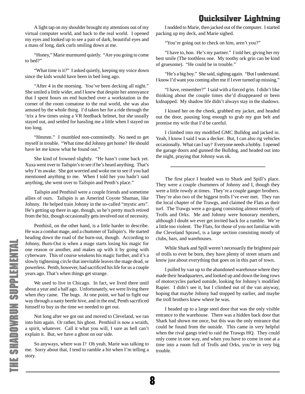A light tap on my shoulder brought my attentions out of my virtual computer world, and back to the real world. I opened my eyes and looked up to see a pair of dark, beautiful eyes and a mass of long, dark curls smiling down at me.

"Honey," Marie murmured quietly. "Are you going to come to bed?"

"What time is it?" I asked quietly, keeping my voice down since the kids would have been in bed long ago.

"After 4 in the morning. You've been decking all night." She smiled a little wider, and I knew that despite her annoyance that I spent hours on end hunched over a workstation in the corner of the room comatose to the real world, she was also amused by the whole thing. I'd taken her for a ride through the 'trix a few times using a VR feedback helmet, but she usually stayed out, and settled for hassling me a little when I stayed on too long.

"Hmmm." I mumbled non-commitedly. No need to get myself in trouble. "What time did Johnny get home? He should have let me know what he found out."

She kind of frowned slightly. "He hasn't come back yet. Xuxa went over to Tailspin's to see if he's heard anything. That's why I'm awake. She got worried and woke me to see if you had mentioned anything to me. When I told her you hadn't said anything, she went over to Tailspin and Penth's place."

Tailspin and Penthisil were a couple friends and sometime allies of ours. Tailspin is an Amerind Coyote Shaman, like Johnny. He helped train Johnny in the so-called "mystic arts". He's getting up there in age, though, so he's pretty much retired from the biz, though occasionally gets involved out of necessity.

Penthisil, on the other hand, is a little harder to describe. He was a combat mage, and a chummer of Tailspin's. He started heading down the road of the burn-out, though. According to Johnny, Burn-Out is when a mage starts losing his magic for one reason or another, and makes up with it by going with cyberware. This of course weakens his magic further, and it's a slowly tightening circle that inevitable leaves the mage dead, or powerless. Penth, however, had sacrificed his life for us a couple years ago. That's when things get strange.

We used to live in Chicago. In fact, we lived there until about a year and a half ago. Unfortunately, we were living there when *they* came. The bugs. At one point, we had to fight our way through a nasty beetle hive, and in the end, Penth sacrificed himself to buy us the time we needed to get out.

Not long after we got out and moved to Cleveland, we ran into him again. Or rather, his ghost. Penthisil is now a wraith, a spirit, whatever. Call it what you will, I sure as hell can't explain it. But, we have a ghost on our side.

So anyways, where was I? Oh yeah, Marie was talking to me. Sorry about that, I tend to ramble a bit when I'm telling a story.

I nodded to Marie, then jacked out of the computer. I started packing up my deck, and Marie sighed.

"You're going out to check on him, aren't you?"

"I have to, hon. He's my partner." I told her, giving her my best smile (The toothless one. My toothy ork grin can be kind of gruesome). "He could be in trouble."

"He's a big boy." She said, sighing again. "But I understand. I know I'd want you coming after me if I ever turned up missing."

"I have, remember?" I said with a forced grin. I didn't like thinking about the couple times she'd disappeared or been kidnapped. My shadow life didn't always stay in the shadows.

I kissed her on the cheek, grabbed my jacket, and headed out the door, pausing long enough to grab my gun belt and promise my wife that I'd be careful.

I climbed into my modified GMC Bulldog and jacked in. Yeah, I know I said I was a decker. But, I can also rig vehicles occasionally. What can I say? Everyone needs a hobby. I opened the garage doors and gunned the Bulldog, and headed out into the night, praying that Johnny was ok.

The first place I headed was to Shark and Spill's place. They were a couple chummers of Johnny and I, though they were a little rowdy at times. They're a couple ganger brothers. They're also two of the biggest trolls I've ever met. They run the local chapter of the Trawgs, and claimed the Flats as their turf. The Trawgs were a go-gang consisting almost entirely of Trolls and Orks. Me and Johnny were honorary members, although I doubt we ever get invited back for a rumble. We're a little too violent. The Flats, for those of you not familiar with the Cleveland Sprawl, is a large section consisting mostly of clubs, bars, and warehouses.

While Shark and Spill weren't necessarily the brightest pair of trolls to ever be born, they have plenty of street smarts and know just about everything that goes on in this part of town.

I pulled by van up to the abandoned warehouse where they made their headquarters, and looked up and down the long rows of motorcycles parked outside, looking for Johnny's modified Rapier. I didn't see it, but I climbed out of the van anyway, hoping that maybe Johnny had stopped by earlier, and maybe the troll brothers knew where he was.

I headed up to a large steel door that was the only visible entrance to the warehouse. There was a hidden back door that Shark had shown me once, but this was the only entrance that could be found from the outside. This came in very helpful when the rival gangs tried to raid the Trawgs HQ. They could only come in one way, and when you have to come in one at a time into a room full of Trolls and Orks, you're in very big trouble.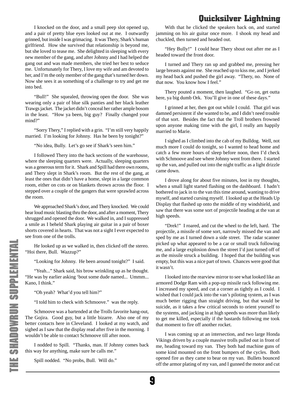I knocked on the door, and a small peep slot opened up, and a pair of pretty blue eyes looked out at me. I outwardly grinned, but inside I was grimacing. It was Thery, Shark's human girlfriend. How she survived that relationship is beyond me, but she loved to tease me. She delighted in sleeping with every new member of the gang, and after Johnny and I had helped the gang out and was made members, she tried her best to seduce me. Unfortunately for Thery, I love my wife and am devoted to her, and I'm the only member of the gang that's turned her down. Now she sees it as something of a challenge to try and get me into bed.

"Bull!" She squealed, throwing open the door. She was wearing only a pair of blue silk panties and her black leather Trawgs jacket. The jacket didn't conceal her rather ample bosom in the least. "How ya been, big guy? Finally changed your mind?"

"Sorry Thery," I replied with a grin. "I'm still very happily married. I'm looking for Johnny. Has he been by tonight?"

"No idea, Bully. Let's go see if Shark's seen him."

I followed Thery into the back sections of the warehouse, where the sleeping quarters were. Actually, sleeping quarters was a generous term for it. Shark and Spill had there own rooms, and Thery slept in Shark's room. But the rest of the gang, at least the ones that didn't have a home, slept in a large common room, either on cots or on blankets thrown across the floor. I stepped over a couple of the gangers that were sprawled across the room.

We approached Shark's door, and Thery knocked. We could hear loud music blasting thru the door, and after a moment, Thery shrugged and opened the door. We walked in, and I suppressed a smile as I beheld Shark playing air guitar in a pair of boxer shorts covered in hearts. That was not a sight I ever expected to see from one of the trolls.

He looked up as we walked in, then clicked off the stereo. "Hoi there, Bull. Wazzup?"

"Looking for Johnny. He been around tonight?" I said.

"Yeah..." Shark said, his brow wrinkling up as he thought. "He was by earlier asking 'bout some dude named... Ummm... Kano, I think."

"Oh yeah? What'd you tell him?"

"I told him to check with Schmoove." was the reply.

Schmoove was a bartended at the Trolls favorite hang-out, The Gojira. Good guy, but a little bizarre. Also one of my better contacts here in Cleveland. I looked at my watch, and sighed as I saw that the display read after five in the morning. I wouldn't be able to contact Schmoove till after noon.

I nodded to Spill. "Thanks, man. If Johnny comes back this way for anything, make sure he calls me."

Spill nodded. "No probs, Bull. Will do."

With that he clicked the speakers back on, and started jamming on his air guitar once more. I shook my head and chuckled, then turned and headed out.

"Hey Bully!" I could hear Thery shout out after me as I headed toward the front door.

I turned and Thery ran up and grabbed me, pressing her large breasts against me. She reached up to kiss me, and I jerked my head back and pushed the girl away. "Thery, no. None of that now. You know how I feel."

Thery pouted a moment, then laughed. "Go on, get outta here, ya big dumb Ork. You'll give in one of these days."

I grinned at her, then got out while I could. That girl was damned persistent if she wanted to be, and I didn't need trouble of that sort. Besides the fact that the Troll brothers frowned upon anyone making time with the girl, I really am happily married to Marie.

I sighed as I climbed into the cab of my Bulldog. Well, not much more I could do tonight, so I wanted to head home and catch a few more hours of sleep before noon, then I'd check with Schmoove and see where Johnny went from there. I started up the van, and pulled out into the night traffic as a light drizzle came down.

I drove along for about five minutes, lost in my thoughts, when a small light started flashing on the dashboard. I hadn't bothered to jack in to the van this time around, wanting to drive myself, and started cursing myself. I looked up at the Heads Up Display that flashed up onto the middle of my windshield, and saw that there was some sort of projectile heading at the van at high speeds.

"Drek!" I roared, and cut the wheel to the left, hard. The projectile, a missile of some sort, narrowly missed the van and sped by me as I turned down a side street. The radar scanner picked up what appeared to be a car or small truck following me, and a large explosion down the street I'd just turned off of as the missile struck a building. I hoped that the building was empty, but this was a nice part of town. Chances were good that it wasn't.

I looked into the rearview mirror to see what looked like an armored Dodge Ram with a pop-up missile rack following me. I increased my speed, and cut a corner as tightly as I could. I wished that I could jack into the van's piloting system, as I was much better rigging than straight driving, but that would be suicide, as it takes a few critical seconds to orient yourself to the systems, and jacking in at high speeds was more than likely to get me killed, especially if the bastards following me took that moment to fire off another rocket.

I was coming up at an intersection, and two large Honda Vikings driven by a couple massive trolls pulled out in front of me, heading toward my van. They both had machine guns of some kind mounted on the front bumpers of the cycles. Both opened fire as they came to bear on my van. Bullets bounced off the armor plating of my van, and I gunned the motor and cut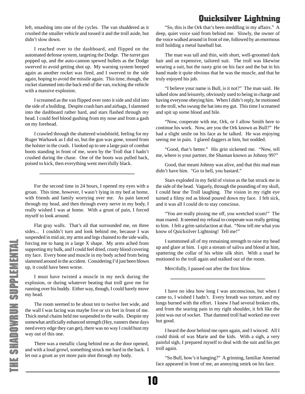left, smashing into one of the cycles. The van shuddered as it crushed the smaller vehicle and tossed it and the troll aside, but didn't slow down.

I reached over to the dashboard, and flipped on the automated defense system, targeting the Dodge. The turret gun popped up, and the auto-cannon spewed bullets as the Dodge swerved to avoid getting shot up. My warning system beeped again as another rocket was fired, and I swerved to the side again, hoping to avoid the missile again. This time, though, the rocket slammed into the back end of the van, rocking the vehicle with a massive explosion.

I screamed as the van flipped over onto it side and slid into the side of a building. Despite crash bars and airbags, I slammed into the dashboard rather hard, and stars flashed through my head. I could feel blood gushing from my nose and from a gash on my forehead.

I crawled through the shattered windshield, feeling for my Ruger Warhawk as I did so, but the gun was gone, tossed from the holster in the crash. I looked up to see a large pair of combat boots standing in front of me, worn by the Troll that I hadn't crushed during the chase. One of the boots was pulled back, poised to kick, then everything went mercifully black.

For the second time in 24 hours, I opened my eyes with a groan. This time, however, I wasn't lying in my bed at home, with friends and family worrying over me. As pain lanced through my head, and then through every nerve in my body, I really wished I was at home. With a grunt of pain, I forced myself to look around.

Flat gray walls. That's all that surrounded me, on three sides... I couldn't turn and look behind me, because I was suspended in mid air, my arms and legs chained to the side walls, forcing me to hang in a large X shape. My arms ached from supporting my bulk, and I could feel dried, crusty blood covering my face. Every bone and muscle in my body ached from being slammed around in the accident. Considering I'd just been blown up, it could have been worse.

I must have twisted a muscle in my neck during the explosion, or during whatever beating that troll gave me for running over his buddy. Either way, though, I could barely move my head.

The room seemed to be about ten to twelve feet wide, and the wall I was facing was maybe five or six feet in front of me. Thick metal chains held me suspended to the walls. Despite my somewhat artificially enhanced strength (Hey, runners these days need every edge they can get), there was no way I could bust my way out of this one.

There was a metallic clang behind me as the door opened, and with a loud growl, something struck me hard in the back. I let out a grunt as yet more pain shot through my body.

"So, this is the Ork that's been meddling in my affairs." A deep, quiet voice said from behind me. Slowly, the owner of the voice walked around in front of me, followed by an enormous troll holding a metal baseball bat.

The man was tall and thin, with short, well-groomed dark hair and an expensive, tailored suit. The troll was likewise wearing a suit, but the nasty grin on his face and the bat in his hand made it quite obvious that he was the muscle, and that he truly enjoyed his job.

"I believe your name is Bull, is it not?" The man said. He talked slow and leisurely, obviously used to being in charge and having everyone obeying him. When I didn't reply, he motioned to the troll, who swung the bat into my gut. This time I screamed and spit up some blood and bile.

"Now, cooperate with me, Ork, or I allow Smith here to continue his work. Now, are you the Ork known as Bull?" He had a slight smile on his face as he talked. He was enjoying seeing me in pain. I glared daggers at him, but nodded.

"Good, that's better." His grin sickened me. "Now, tell me, where is your partner, the Shaman known as Johnny 99?"

Good, that meant Johnny was alive, and that this mad man didn't have him. "Go to hell, you bastard."

Stars exploded in my field of vision as the bat struck me in the side of the head. Vaguely, through the pounding of my skull, I could hear the Troll laughing. The vision in my right eye turned a filmy red as blood poured down my face. I felt sick, and it was all I could do to stay conscious.

"You are really pissing me off, you wretched scum!" The man roared. It seemed my refusal to cooperate was really getting to him. I felt a grim satisfaction at that. "Now tell me what you know of Quicksilver Lightning! Tell me!"

I summoned all of my remaining strength to raise my head up and glare at him. I spit a stream of saliva and blood at him, spattering the collar of his white silk shirt. With a snarl he motioned to the troll again and stalked out of the room.

Mercifully, I passed out after the first blow.

I have no idea how long I was unconscious, but when I came to, I wished I hadn't. Every breath was torture, and my lungs burned with the effort. I knew I had several broken ribs, and from the searing pain in my right shoulder, it felt like the joint was out of socket. That damned troll had worked me over but good.

I heard the door behind me open again, and I winced. All I could think of was Marie and the kids. With a sigh, a very painful sigh, I prepared myself to deal with the suit and his pet troll again.

"So Bull, how's it hanging?" A grinning, familiar Amerind face appeared in front of me, an annoying smirk on his face.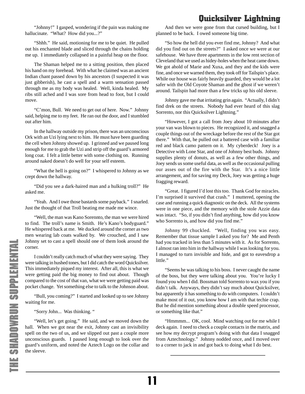"Johnny!" I gasped, wondering if the pain was making me hallucinate. "What? How did you...?"

"Shhh." He said, motioning for me to be quiet. He pulled out his enchanted blade and sliced through the chains holding me up. I immediately collapsed in a painful heap on the floor.

The Shaman helped me to a sitting position, then placed his hand on my forehead. With what he claimed was an ancient Indian chant passed down by his ancestors (I suspected it was just gibberish), he cast a spell and a warm sensation passed through me as my body was healed. Well, kinda healed. My ribs still ached and I was sore from head to foot, but I could move.

"C'mon, Bull. We need to get out of here. Now." Johnny said, helping me to my feet. He ran out the door, and I stumbled out after him.

In the hallway outside my prison, there was an unconscious Ork with an Uzi lying next to him. He must have been guarding the cell when Johnny showed up. I grinned and we paused long enough for me to grab the Uzi and strip off the guard's armored long coat. I felt a little better with some clothing on. Running around naked doesn't do well for your self esteem.

"What the hell is going on?" I whispered to Johnny as we crept down the hallway.

"Did you see a dark-haired man and a hulking troll?" He asked me.

"Yeah. And I owe those bastards some payback." I snarled. Just the thought of that Troll beating me made me wince.

"Well, the man was Kano Sorennto, the man we were hired to find. The troll's name is Smith. He's Kano's bodyguard." He whispered back at me. We ducked around the corner as two men wearing lab coats walked by. We crouched, and I saw Johnny set to cast a spell should one of them look around the corner.

I couldn't really catch much of what they were saying. They were talking in hushed tones, but I did catch the word Quicksilver. This immediately piqued my interest. After all, this is what we were getting paid the big money to find out about. Though compared to the cost of that van, what we were getting paid was pocket change. Yet something else to talk to the Johnson about.

"Bull, you coming?" I started and looked up to see Johnny waiting for me.

"Sorry John... Was thinking. "

"Well, let's get going." He said, and we moved down the hall. When we got near the exit, Johnny cast an invisibility spell on the two of us, and we slipped out past a couple more unconscious guards. I paused long enough to look over the guard's uniform, and noted the Aztech Logo on the collar and the sleeve.

11

And then we were gone from that cursed building, but I planned to be back. I owed someone big time.

"So how the hell did you ever find me, Johnny? And what did you find out on the streets?" I asked once we were at our safehouse. We have three apartments in the low rent section of Cleveland that we used as hidey-holes when the heat came down. We got ahold of Marie and Xuxa, and they and the kids were fine, and once we warned them, they took off for Tailspin's place. While our house was fairly heavily guarded, they would be a lot safer with the Old Coyote Shaman and the ghost if we weren't around. Tailspin had more than a few tricks up his old sleeve.

Johnny gave me that irritating grin again. "Actually, I didn't find drek on the streets. Nobody had ever heard of this slag Sorrento, nor this Quicksilver Lightning."

"However, I got a call from Joey about 10 minutes after your van was blown to pieces. He recognized it, and snagged a couple things out of the wreckage before the rest of the Star got there." With that, he pulled out a battered case with a familiar red and black camo pattern on it. My cyberdeck! Joey is a Detective with Lone Star, and one of Johnny best buds. Johnny supplies plenty of donuts, as well as a few other things, and Joey sends us some useful data, as well as the occasional pulling our asses out of the fire with the Star. It's a nice little arrangement, and for saving my Deck, Joey was getting a huge fragging reward.

"Great. I figured I'd lost this too. Thank God for miracles. I'm surprised it survived that crash." I muttered, opening the case and running a quick diagnostic on the deck. All the systems were in one piece, and the memory with the stole Azzie data was intact. "So, if you didn't find anything, how did you know who Sorrento is, and how did you find me."

Johnny 99 chuckled. "Well, finding you was easy. Remember that tissue sample I asked you for? Me and Penth had you tracked in less than 5 minutes with it. As for Sorrento, I almost ran into him in the hallway while I was looking for you. I managed to turn invisible and hide, and got to eavesdrop a little."

"Seems he was talking to his boss. I never caught the name of the boss, but they were talking about you. You're lucky I found you when I did. Bossman told Sorrento to wax you if you didn't talk. Anyways, they didn't say much about Quicksilver, but apparently it has something to do with computers. I couldn't make most of it out, you know how I am with that techie crap. But he did mention something about a double speed processor, or something like that."

"Hmmmm... OK, cool. Mind watching out for me while I deck again. I need to check a couple contacts in the matrix, and see how my decrypt program's doing with that data I snagged from Aztechnology." Johnny nodded once, and I moved over to a corner to jack in and got back to doing what I do best.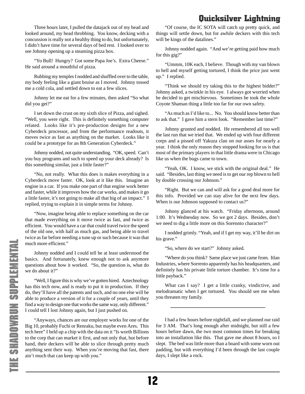Three hours later, I pulled the datajack out of my head and looked around, my head throbbing. You know, decking with a concussion is really not a healthy thing to do, but unfortunately, I didn't have time for several days of bed rest. I looked over to see Johnny opening up a steaming pizza box.

"Yo Bull! Hungry? Got some Papa Joe's. Extra Cheese." He said around a mouthful of pizza.

Rubbing my temples I nodded and shuffled over to the table, my body feeling like a giant bruise as I moved. Johnny tossed me a cold cola, and settled down to eat a few slices.

Johnny let me eat for a few minutes, then asked "So what did you get?"

I set down the crust on my sixth slice of Pizza, and sighed. "Well, you were right. This is definitely something computer related. Looks like it's pre-production designs for a new Cyberdeck processor, and from the performance readouts, it moves twice as fast as anything on the market. Looks like it could be a prototype for an 8th Generation Cyberdeck."

Johnny nodded, not quite understanding. "OK, speed. Can't you buy programs and such to speed up your deck already? Is this something similar, just a little faster?"

"No, not really. What this does is makes everything in a Cyberdeck move faster. OK, look at it like this. Imagine an engine in a car. If you make one part of that engine work better and faster, while it improves how the car works, and makes it go a little faster, it's not going to make all that big of an impact." I replied, trying to explain it in simple terms for Johnny.

"Now, imagine being able to replace something on the car that made everything on it move twice as fast, and twice as efficient. You would have a car that could travel twice the speed of the old one, with half as much gas, and being able to travel twice as far before needing a tune up or such because it was that much more efficient."

Johnny nodded and I could tell he at least understood the basics. And fortunately, knew enough not to ask anymore questions about how it worked. "So, the question is, what do we do about it?"

"Well, I figure this is why we've gotten hired. Aztechnology has this tech now, and is ready to put it in production. If they do, they'll have all the patents and such, and no one else will be able to produce a version of it for a couple of years, until they find a way to design one that works the same way, only different." I could tell I lost Johnny again, but I just pushed on.

"Anyways, chances are our employer works for one of the Big 10, probably Fuchi or Renraku, but maybe even Ares. This tech here" I held up a chip with the data on it "Is worth Billions to the corp that can market it first, and not only that, but before hand, their deckers will be able to slice through pretty much anything sent their way. When you're moving that fast, there ain't much that can keep up with you."

"Of course, the IC SOTA will catch up pretty quick, and things will settle down, but for awhile deckers with this tech will be kings of the datalines."

Johnny nodded again. "And we're getting paid how much for this gig?"

"Ummm, 10K each, I believe. Though with my van blown to hell and myself getting tortured, I think the price just went up." I replied.

"Think we should try taking this to the highest bidder?" Johnny asked, a twinkle in his eye. I always got worried when he decided to get mischievous. Sometimes he took the whole Coyote Shaman thing a little too far for our own safety.

"As much as I'd like to... No. You should know better than to ask that." I gave him a stern look. "Remember last time?"

Johnny grunted and nodded. He remembered all too well the last run that we tried that. We ended up with four different corps and a pissed off Yakuza clan on our asses for nearly a year. I think the only reason they stopped looking for us is that most of the primary players in that little drama were in Chicago like us when the bugs came to town.

"Yeah, OK. I know, we stick with the original deal." He said. "Besides, last thing we need is to get our rep blown to hell by double crossing our Johnson."

"Right. But we can and will ask for a good deal more for this info. Provided we can stay alive for the next few days. When is our Johnson supposed to contact us?"

Johnny glanced at his watch. "Friday afternoon, around 1:00. It's Wednesday now. So we got 2 days. Besides, don't we need to dig a little more on this Sorennto character?"

I nodded grimly. "Yeah, and if I get my way, it'll be dirt on his grave."

"So, where do we start?" Johnny asked.

"Where do you think? Same place we just came from. Itlan Industries, where Sorrento apparently has his headquarters, and definitely has his private little torture chamber. It's time for a little payback."

What can I say? I get a little cranky, vindictive, and melodramatic when I get tortured. You should see me when you threaten my family.

I had a few hours before nightfall, and we planned our raid for 3 AM. That's long enough after midnight, but still a few hours before dawn, the two most common times for breaking into an installation like this. That gave me about 8 hours, so I slept. The bed was little more than a board with some worn out padding, but with everything I'd been through the last couple days, I slept like a rock.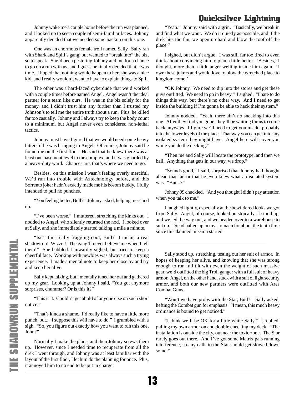Johnny woke me a couple hours before the run was planned, and I looked up to see a couple of semi-familiar faces. Johnny apparently decided that we needed some backup on this one.

One was an enormous female troll named Sally. Sally ran with Shark and Spill's gang, but wanted to "break into" the biz, so to speak. She'd been pestering Johnny and me for a chance to go on a run with us, and I guess he finally decided that it was time. I hoped that nothing would happen to her, she was a nice kid, and I really wouldn't want to have to explain things to Spill.

The other was a hard-faced cyberdude that we'd worked with a couple times before named Angel. Angel wasn't the ideal partner for a team like ours. He was in the biz solely for the money, and I didn't trust him any further than I trusted my Johnson's to tell me the entire truth about a run. Plus, he killed far too casually. Johnny and I always try to keep the body count to a minimum, but Angel never even considered non-lethal tactics.

Johnny must have figured that we would need some heavy hitters if he was bringing in Angel. Of course, Johnny said he found me on the first floor. He said that he knew there was at least one basement level to the complex, and it was guarded by a heavy-duty ward. Chances are, that's where we need to go.

Besides, on this mission I wasn't feeling overly merciful. We'd run into trouble with Aztechnology before, and this Sorrento joker hadn't exactly made me his bosom buddy. I fully intended to pull no punches.

"You feeling better, Bull?" Johnny asked, helping me stand up.

"I've been worse." I muttered, stretching the kinks out. I nodded to Angel, who silently returned the nod. I looked over at Sally, and she immediately started talking a mile a minute.

"Isn't this really fragging cool, Bull? I mean, a real shadowrun! Wizzer! The gang'll never believe me when I tell them!" She babbled. I inwardly sighed, but tried to keep a cheerful face. Working with newbies was always such a trying experience. I made a mental note to keep her close by and try and keep her alive.

Sally kept talking, but I mentally tuned her out and gathered up my gear. Looking up at Johnny I said, "You got anymore surprises, chummer? Or is this it?"

"This is it. Couldn't get ahold of anyone else on such short notice."

"That's kinda a shame. I'd really like to have a little more punch, but... I suppose this will have to do." I grumbled with a sigh. "So, you figure out exactly how you want to run this one, John?"

Normally I make the plans, and then Johnny screws them up. However, since I needed time to recuperate from all the drek I went through, and Johnny was at least familiar with the layout of the first floor, I let him do the planning for once. Plus, it annoyed him to no end to be put in charge.

"Yeah." Johnny said with a grin. "Basically, we break in and find what we want. We do it quietly as possible, and if the drek hits the fan, we open up hard and blow the roof off the place."

I sighed, but didn't argue. I was still far too tired to even think about convincing him to plan a little better. 'Besides,' I thought, more than a little anger welling inside him again. 'I owe these jokers and would love to blow the wretched place to kingdom come.'

"OK Johnny. We need to dip into the stores and get these guys outfitted. We need to go in heavy." I sighed. "I hate to do things this way, but there's no other way. And I need to get inside the building if I'm gonna be able to hack their system."

Johnny nodded, "Yeah, there ain't no sneaking into this one. After they find you gone, they'll be waiting for us to come back anyways. I figure we'll need to get you inside, probably into the lower levels of the place. That way you can get into any isolated system they might have. Angel here will cover you while you do the decking."

"Then me and Sally will locate the prototype, and then we bail. Anything that gets in our way, we drop."

"Sounds good," I said, surprised that Johnny had thought ahead that far, or that he even knew what an isolated system was. "But...?"

Johnny 99 chuckled. "And you thought I didn't pay attention when you talk to me."

I laughed lightly, especially at the bewildered looks we got from Sally. Angel, of course, looked on stoically. I stood up, and we led the way out, and we headed over to a warehouse to suit up. Dread balled up in my stomach for about the tenth time since this damned mission started.

Sally stood up, stretching, testing out her suit of armor. In hopes of keeping her alive, and knowing that she was strong enough to run full tilt with even the weight of such massive gear, we'd outfitted the big Troll ganger with a full suit of heavy armor. Angel, on the other hand, stuck with a suit of light security armor, and both our new partners were outfitted with Ares Combat Guns.

"Won't we have probs with the Star, Bull?" Sally asked, hefting the Combat gun for emphasis. "I mean, this much heavy ordinance is bound to get noticed."

"I think we'll be OK for a little while Sally." I replied, pulling my own armor on and double checking my deck. "The installation is outside the city, out near the toxic zone. The Star rarely goes out there. And I've got some Matrix pals running interference, so any calls to the Star should get slowed down some."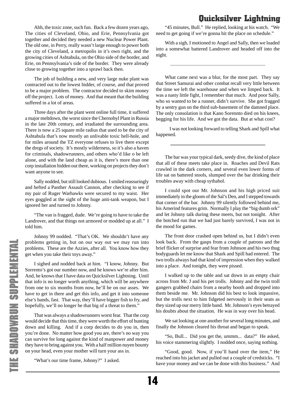Ahh, the toxic zone, such fun. Back a few dozen years ago, The cities of Cleveland, Ohio, and Erie, Pennsylvania got together and decided they needed a new Nuclear Power Plant. The old one, in Perry, really wasn't large enough to power both the city of Cleveland, a metropolis in it's own right, and the growing cities of Ashtabula, on the Ohio side of the border, and Erie, on Pennsylvania's side of the border. They were already close to growing together into a sprawl back then.

The job of building a new, and very large nuke plant was contracted out to the lowest bidder, of course, and that proved to be a major problem. The contractor decided to skim money off the project. Lots of money. And that meant that the building suffered in a lot of areas.

Three days after the plant went online full time, it suffered a major meltdown, the worst since the Chernobyl Plant in Russia in the late 20th century, and irradiated the surrounding area. There is now a 25 square mile radius that used to be the city of Ashtabula that's now mostly an unlivable toxic hell-hole, and for miles around the TZ everyone refuses to live there except the dregs of society. It's mostly wilderness, so it's also a haven for criminals, shadowrunners, and others who'd like o be left alone, and with the land cheap as it is, there's more than one corp installation hidden out there, working on projects they don't want anyone to see.

Sally nodded, but still looked dubious. I smiled reassuringly and hefted a Panther Assault Cannon, after checking to see if my pair of Ruger Warhawks were secured to my waist. Her eyes goggled at the sight of the huge anti-tank weapon, but I ignored her and turned to Johnny.

"The van is fragged, dude. We're going to have to take the Landrover, and that things not armored or modded up at all." I told him.

Johnny 99 nodded. "That's OK. We shouldn't have any problems getting in, but on our way out we may run into problems. These are the Azzies, after all. You know how they get when you take their toys away."

I sighed and nodded back at him. "I know, Johnny. But Sorrento's got our number now, and he knows we're after him. And, he knows that I have data on Quicksilver Lightning. Until that info is no longer worth anything, which will be anywhere from one to six months from now, he'll be on our asses. We have to get in there and get this info, and get it into someone else's hands, fast. That way, they'll have bigger fish to fry, and hopefully, we'll no longer be that big of a threat to them."

That was always a shadowrunners worst fear. That the corp would decide that this time, they were worth the effort of hunting down and killing. And if a corp decides to do you in, then you're done. No matter how good you are, there's no way you can survive for long against the kind of manpower and money they have to bring against you. With a half million nuyen bounty on your head, even your mother will turn your ass in.

"What's our time frame, Johnny?" I asked.

"45 minutes, Bull." He replied, looking at his watch. "We need to get going if we're gonna hit the place on schedule."

With a sigh, I motioned to Angel and Sally, then we loaded into a somewhat battered Landrover and headed off into the night.

What came next was a blur, for the most part. They say that Street Samurai and other combat recall very little between the time we left the warehouse and when we limped back. It was a nasty little fight, I remember that much. And poor Sally, who so wanted to be a runner, didn't survive. She got fragged by a sentry gun on the third sub-basement of the damned place. The only consolation is that Kano Sorennto died on his knees, begging for his life. And we got the data. But at what cost?

 I was not looking forward to telling Shark and Spill what happened.

The bar was your typical dark, seedy dive, the kind of place that all of these meets take place in. Roaches and Devil Rats crawled in the dark corners, and several even lower forms of life sat on battered stools, slumped over the bar drinking their troubles away with cheap sythahol.

I could spot our Mr. Johnson and his high priced suit immediately in the gloom of the Sal's Den, and I stepped towards that corner of the bar. Johnny 99 silently followed behind me, his Amerind features grim. Normally I play the "big dumb ork" and let Johnny talk during these meets, but not tonight. After the botched run that we had just barely survived, I was not in the mood for games.

The front door crashed open behind us, but I didn't even look back. From the gasps from a couple of patrons and the brief flicker of surprise and fear from Johnson and his two thug bodyguards let me know that Shark and Spill had entered. The two trolls always had that kind of impression when they walked into a place. And tonight, they were pissed.

I walked up to the table and sat down in an empty chair across from Mr. J and his pet trolls. Johnny and the twin troll gangers grabbed chairs from a nearby booth and dropped into them beside me. Mr. Johnson did his best to look impassive, but the trolls next to him fidgeted nervously in their seats as they sized up our merry little band. Mr. Johnson's eyes betrayed his doubts about the situation. He was in way over his head.

We sat looking at one another for several long minutes, and finally the Johnson cleared his throat and began to speak.

"So, Bull... Did you get the, ummm... data?" He asked, his voice stammering slightly. I nodded once, saying nothing.

"Good, good. Now, if you'll hand over the item," He reached into his jacket and pulled out a couple of credsticks. "I have your money and we can be done with this business." And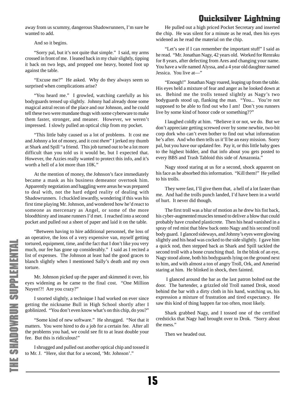away from us scummy, dangerous Shadowrunners, I'm sure he wanted to add.

And so it begins.

"Sorry pal, but it's not quite that simple." I said, my arms crossed in front of me. I leaned back in my chair slightly, tipping it back on two legs, and propped one heavy, booted foot up against the table.

"Excuse me?" He asked. Why do they always seem so surprised when complications arise?

"You heard me." I growled, watching carefully as his bodyguards tensed up slightly. Johnny had already done some magical astral recon of the place and our Johnson, and he could tell these two were mundane thugs with some cyberware to make them faster, stronger, and meaner. However, we weren't impressed. I slowly pulled an optical chip from my pocket.

"This little baby caused us a lot of problems. It cost me and Johnny a lot of money, and it cost *them*" I jerked my thumb at Shark and Spill "a friend. This job turned out to be a lot more difficult than you told us it would be, but I expected that. However, the Azzies really wanted to protect this info, and it's worth a hell of a lot more than 10K."

At the mention of money, the Johnson's face immediately became a mask as his business demeanor overtook him. Apparently negotiation and haggling were areas he was prepared to deal with, not the hard edged reality of dealing with Shadowrunners. I chuckled inwardly, wondering if this was his first time playing Mr. Johnson, and wondered how he'd react to someone as mercenary as Angel, or some of the more bloodthirsty and insane runners I'd met. I reached into a second pocket and pulled out a sheet of paper and laid it on the table.

"Between having to hire additional personnel, the loss of an operative, the loss of a very expensive van, myself getting tortured, equipment, time, and the fact that I don't like you very much, our fee has gone up considerably." I said as I recited a list of expenses. The Johnson at least had the good graces to blanch slightly when I mentioned Sally's death and my own torture.

Mr. Johnson picked up the paper and skimmed it over, his eyes widening as he came to the final cost. "One Million Nuyen!?! Are you crazy?"

I snorted slightly, a technique I had worked on ever since getting the nickname Bull in High School shortly after I goblinized. "You don't even know what's on this chip, do you?"

"Some kind of new software." He shrugged. "Not that it matters. You were hired to do a job for a certain fee. After all the problems you had, we could see fit to at least double your fee. But this is ridiculous!"

I shrugged and pulled out another optical chip and tossed it to Mr. J. "Here, slot that for a second, 'Mr. Johnson'."

He pulled out a high priced Pocket Secretary and inserted the chip. He was silent for a minute as he read, then his eyes widened as he read the material on the chip.

"Let's see if I can remember the important stuff" I said as he read. "Mr. Jonathan Nagy, 42 years old. Worked for Renraku for 8 years, after defecting from Ares and changing your name. You have a wife named Alyssa, and a 4 year old daughter named Jessica. You live at—"

"Enough!" Jonathan Nagy roared, leaping up from the table. His eyes held a mixture of fear and anger as he looked down at us. Behind me the trolls tensed slightly as Nagy's two bodyguards stood up, flanking the man. "You... You're not supposed to be able to find out who I am! Don't you runners live by some kind of honor code or something??"

I laughed coldly at him. "Believe it or not, we do. But we don't appreciate getting screwed over by some newbie, two-bit corp dork who can't even bother to find out what information he's after. And who then tells us it'll be an easy mission. Sorry pal, but you have our updated fee. Pay it, or this little baby goes to the highest bidder, and that info about you gets posted to every BBS and Trash Tabloid this side of Amazonia."

Nagy stood staring at us for a second, shock apparent on his face as he absorbed this information. "Kill them!" He yelled to his trolls.

They were fast, I'll give them that, a hell of a lot faster than me. And had the trolls punch landed, I'd have been in a world of hurt. It never did though.

The first troll was a blur of motion as he drew his fist back, his cyber-augmented muscles tensed to deliver a blow that could probably have crushed plasticrete. Then his head vanished in a spray of red mist that blew back onto Nagy and his second troll body guard. I glanced sideways, and Johnny's eyes were glowing slightly and his head was cocked to the side slightly. I gave him a quick nod, then stepped back as Shark and Spill tackled the second troll with a bone crunching thud. In the blink of an eye, Nagy stood alone, both his bodyguards lying on the ground next to him, and with almost a ton of angry Troll, Ork, and Amerind staring at him. He blinked in shock, then fainted.

 I glanced around the bar as the last patron bolted out the door. The bartender, a grizzled old Troll named Drok, stood behind the bar with a dirty cloth in his hand, watching us, his expression a mixture of frustration and tired expectancy. He saw this kind of thing happen far too often, most likely.

Shark grabbed Nagy, and I tossed one of the certified credsticks that Nagy had brought over to Drok. "Sorry about the mess."

Then we headed out.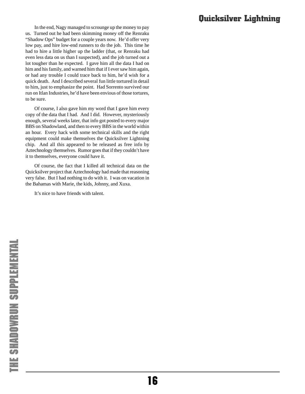In the end, Nagy managed to scrounge up the money to pay us. Turned out he had been skimming money off the Renraku "Shadow Ops" budget for a couple years now. He'd offer very low pay, and hire low-end runners to do the job. This time he had to hire a little higher up the ladder (that, or Renraku had even less data on us than I suspected), and the job turned out a lot tougher than he expected. I gave him all the data I had on him and his family, and warned him that if I ever saw him again, or had any trouble I could trace back to him, he'd wish for a quick death. And I described several fun little tortured in detail to him, just to emphasize the point. Had Sorrento survived our run on Itlan Industries, he'd have been envious of those tortures, to be sure.

Of course, I also gave him my word that I gave him every copy of the data that I had. And I did. However, mysteriously enough, several weeks later, that info got posted to every major BBS on Shadowland, and then to every BBS in the world within an hour. Every hack with some technical skills and the right equipment could make themselves the Quicksilver Lightning chip. And all this appeared to be released as free info by Aztechnology themselves. Rumor goes that if they couldn't have it to themselves, everyone could have it.

Of course, the fact that I killed all technical data on the Quicksilver project that Aztechnology had made that reasoning very false. But I had nothing to do with it. I was on vacation in the Bahamas with Marie, the kids, Johnny, and Xuxa.

It's nice to have friends with talent.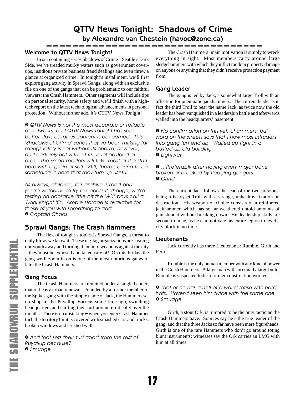**by Alexandre van Chestein (havoc@zone.ca)**

## <span id="page-16-0"></span>**Welcome to QTTV News Tonight!**

In our continuing series Shadows of Crime – Seattle's Dark Side, we've treaded murky waters such as government coverups, insidious private business fraud dealings and even threw a glance at organized crime. In tonight's installment, we'll first explore gang activity in Sprawl Gangs, along with an exclusive file on one of the gangs that can be problematic to our faithful viewers: the Crash Hammers. Other segments will include tips on personal security, home safety and we'll finish with a hightech report on the latest technological advancements in personal protection. Without further ado, it's QTTV News Tonight!

*» QTTV News is not the most accurate or reliable of networks, and QTTV News Tonight has seen better days as far as content is concerned. This 'Shadows of Crime' series they've been milking for ratings lately is not without its charm, however, and certainly not without its usual payload of drek. The smart readers will take most of the stuff here with a grain of salt. Still, there's bound to be something in here that may turn up useful.*

*As always, children, this archive is read-only – you're welcome to try to access it, though, we're testing an adorable little bit the MCT boys call a 'Dark Knight IC'. Ample storage is available for those of you with something to add. » Captain Chaos*

# **Sprawl Gangs: The Crash Hammers**

The first of tonight's topics is Sprawl Gangs, a threat to daily life as we know it. These rag-tag organizations are stealing our youth away and turning them into weapons against the city – they must be exposed and taken care of! On this Friday, the gang we'll zoom in on is one of the most notorious gangs of late: the Crash Hammers.

### **Gang Focus**

The Crash Hammers are reunited under a single banner; that of heavy urban renewal. Founded by a former member of the Spikes gang with the simple name of Jack, the Hammers set up shop in the Puyallup Barrens some time ago, switching headquarters and shifting their turf around erratically over the months. There is no mistaking it when you enter Crash Hammer turf; the territory limit is covered with smashed cars and trucks, broken windows and crushed walls.

*» And that sets their turf apart from the rest of Puyallup because? » Smudge*

The Crash Hammers' main motivation is simply to wreck everything in sight. Most members carry around large sledgehammers with which they inflict random property damage on anyone or anything that they didn't receive protection payment from.

### **Gang Leader**

The gang is led by Jack, a somewhat large Troll with an affection for pneumatic jackhammers. The current leader is in fact the third Troll to bear the name Jack, as twice now the old leader has been vanquished in a leadership battle and afterwards walled into the headquarters' basement.

*» No confirmation on this yet, chummers, but word on the streets says that's how most intruders into gang turf end up. Walled up tight in a busted-up old building. » Lightway*

*» …Preferably after having every major bone broken or cracked by fledging gangers. » Grind*

The current Jack follows the lead of the two previous, being a heavyset Troll with a strange, unhealthy fixation on destruction. His weapon of choice consists of a reinforced jackhammer, which has so far weathered untold amounts of punishment without breaking down. His leadership skills are second to none, as he can motivate his entire legion to level a city block in no time.

#### **Lieutenants**

Jack currently has three Lieutenants: Rumble, Girth and Ferh.

Rumble is the only human member with any kind of power in the Crash Hammers. A large man with an equally large build, Rumble is suspected to be a former construction worker.

*» That or he has a hell of a weird fetish with hard hats. Haven't seen him twice with the same one. » Smudge*

Girth, a stout Ork, is rumored to be the only tactician the Crash Hammers have. Sources say he's the true leader of the gang, and that the three Jacks so far have been mere figureheads. Girth is one of the rare Hammers who don't go around toting blunt instruments; witnesses say the Ork carries an LMG with him at all times.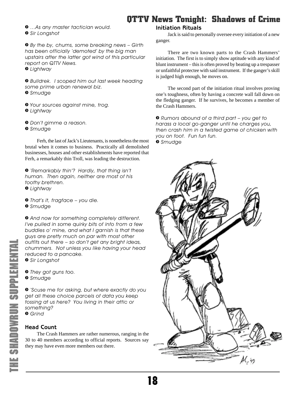<span id="page-17-0"></span>*» …As any master tactician would. » Sir Longshot*

*» By the by, chums, some breaking news – Girth has been officially 'demoted' by the big man upstairs after the latter got wind of this particular report on QTTV News.*

*» Lightway*

*» Bulldrek. I scoped him out last week heading some prime urban renewal biz. » Smudge*

*» Your sources against mine, trog. » Lightway*

*» Don't gimme a reason.*

*» Smudge*

Ferh, the last of Jack's Lieutenants, is nonetheless the most brutal when it comes to business. Practically all demolished businesses, houses and other establishments have reported that Ferh, a remarkably thin Troll, was leading the destruction.

*» 'Remarkably thin'? Hardly, that thing isn't human. Then again, neither are most of his toothy brethren.*

*» Lightway*

*» That's it, fragface – you die. » Smudge*

*» And now for something completely different. I've pulled in some quirky bits of info from a few buddies o' mine, and what I garnish is that these guys are pretty much on par with most other outfits out there – so don't get any bright ideas, chummers. Not unless you like having your head reduced to a pancake.*

*» Sir Longshot*

*» They got guns too. » Smudge*

*» 'Scuse me for asking, but where exactly do you get all these choice parcels of data you keep tossing at us here? You living in their attic or something? » Grind*

#### **Head Count**

The Crash Hammers are rather numerous, ranging in the 30 to 40 members according to official reports. Sources say they may have even more members out there.

#### **Initiation Rituals**

Jack is said to personally oversee every initiation of a new ganger.

There are two known parts to the Crash Hammers' initiation. The first is to simply show aptitude with any kind of blunt instrument – this is often proved by beating up a trespasser or unfaithful protectee with said instrument. If the ganger's skill is judged high enough, he moves on.

The second part of the initiation ritual involves proving one's toughness, often by having a concrete wall fall down on the fledging ganger. If he survives, he becomes a member of the Crash Hammers.

*» Rumors abound of a third part – you get to harass a local go-ganger until he charges you, then crash him in a twisted game of chicken with you on foot. Fun fun fun. » Smudge*

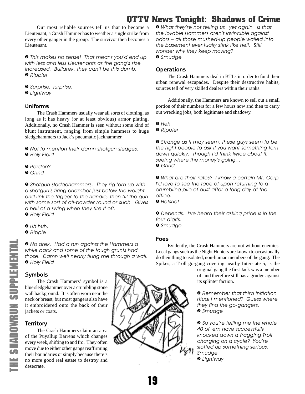<span id="page-18-0"></span>Our most reliable sources tell us that to become a Lieutenant, a Crash Hammer has to weather a single strike from every other ganger in the group. The survivor then becomes a Lieutenant.

*» This makes no sense! That means you'd end up with less and less Lieutenants as the gang's size increased. Bulldrek, they can't be this dumb. » Rippler*

*» Surprise, surprise.*

*» Lightway*

### **Uniforms**

The Crash Hammers usually wear all sorts of clothing, as long as it has heavy (or at least obvious) armor plating. Additionally, no Crash Hammer is seen without some kind of blunt instrument, ranging from simple hammers to huge sledgehammers to Jack's pneumatic jackhammer.

*» Not to mention their damn shotgun sledges. » Holy Field*

- *» Pardon?*
- *» Grind*

*» Shotgun sledgehammers. They rig 'em up with a shotgun's firing chamber just below the weight and link the trigger to the handle, then fill the gun with some sort of all-powder round or such. Gives a hell of a swing when they fire it off. » Holy Field*

*» Uh huh.*

*» Ripple*

*» No drek. Had a run against the Hammers a while back and some of the tough grunts had those. Damn well nearly flung me through a wall. » Holy Field*

# **Symbols**

The Crash Hammers' symbol is a blue sledgehammer over a crumbling stone wall background. It is often worn near the neck or breast, but most gangers also have it embroidered onto the back of their jackets or coats.

### **Territory**

The Crash Hammers claim an area of the Puyallup Barrens which changes every week, shifting to and fro. They often move due to either other gangs reaffirming their boundaries or simply because there's no more good real estate to destroy and desecrate.



*» What they're not telling us yet again is that the lovable Hammers aren't invincible against odors – all those mushed-up people walled into the basement eventually stink like hell. Still wonder why they keep moving? » Smudge*

## **Operations**

The Crash Hammers deal in BTLs in order to fund their urban renewal escapades. Despite their destructive habits, sources tell of very skilled dealers within their ranks.

Additionally, the Hammers are known to sell out a small portion of their numbers for a few hours now and then to carry out wrecking jobs, both legitimate and shadowy.

*» Heh.*

*» Rippler*

*» Strange as it may seem, these guys seem to be the right people to ask if you want something torn down quickly. Though I'd think twice about it, seeing where the money's going… » Grind*

*» What are their rates? I know a certain Mr. Corp I'd love to see the face of upon returning to a crumbling pile of dust after a long day at the office.*

*» Hotshot*

*» Depends. I've heard their asking price is in the four digits. » Smudge*

#### **Foes**

Evidently, the Crash Hammers are not without enemies. Local gangs such as the Night Hunters are known to occasionally do their thing to isolated, non-human members of the gang. The Spikes, a Troll go-gang covering nearby Interstate 5, is the

> original gang the first Jack was a member of, and therefore still has a grudge against its splinter faction.

*» Remember that third initiation ritual I mentioned? Guess where they find the go-gangers. » Smudge*

*» So you're telling me the whole 40 of 'em have successfully knocked down a fragging Troll charging on a cycle? You're slotted up something serious, Smudge.*

*» Lightway*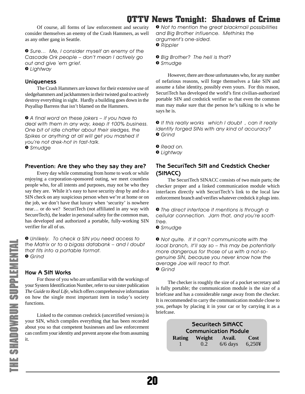<span id="page-19-0"></span>Of course, all forms of law enforcement and security consider themselves an enemy of the Crash Hammers, as well as any other gang in Seattle.

*» Sure… Me, I consider myself an enemy of the Cascade Ork people – don't mean I actively go out and give 'em grief. » Lightway*

#### **Uniqueness**

The Crash Hammers are known for their extensive use of sledgehammers and jackhammers in their twisted goal to actively destroy everything in sight. Hardly a building goes down in the Puyallup Barrens that isn't blamed on the Hammers.

*» A final word on these jokers – if you have to deal with them in any way, keep it 100% business. One bit of idle chatter about their sledges, the Spikes or anything at all will get you mashed if you're not drek-hot in fast-talk. » Smudge*

#### **Prevention: Are they who they say they are?**

Every day while commuting from home to work or while enjoying a corporation-sponsored outing, we meet countless people who, for all intents and purposes, may not be who they say they are. While it's easy to have security drop by and do a SIN check on any suspicious person when we're at home or on the job, we don't have that luxury when 'security' is nowhere near… or do we? SecuriTech (not affiliated in any way with SecureTech), the leader in personal safety for the common man, has developed and authorized a portable, fully-working SIN verifier for all of us.

*» Unlikely. To check a SIN you need access to the Matrix or to a bigass databank – and I doubt that fits into a portable format. » Grind*

#### **How A SIN Works**

For those of you who are unfamiliar with the workings of your System Identification Number, refer to our sister publication *The Guide to Real Life*, which offers comprehensive information on how the single most important item in today's society functions.

Linked to the common credstick (uncertified versions) is your SIN, which compiles everything that has been recorded about you so that competent businesses and law enforcement can confirm your identity and prevent anyone else from assuming it.

*» Not to mention the great blackmail possibilities and Big Brother influence. Methinks the argument's one-sided. » Rippler*

*» Big Brother? The hell is that? » Smudge*

However, there are those unfortunates who, for any number of nefarious reasons, will forge themselves a fake SIN and assume a false identity, possibly even yours. For this reason, SecuriTech has developed the world's first civilian-authorized portable SIN and credstick verifier so that even the common man may make sure that the person he's talking to is who he says he is.

*» If this really works which I doubt , can it really identify forged SINs with any kind of accuracy? » Grind*

*» Read on.*

*» Lightway*

### **The SecuriTech SIN and Credstick Checker (SINACC)**

The SecuriTech SINACC consists of two main parts; the checker proper and a linked communication module which interfaces directly with SecuriTech's link to the local law enforcement branch and verifies whatever credstick it plugs into.

*» The direct interface it mentions is through a cellular connection. Jam that, and you're scottfree.*

*» Smudge*

*» Not quite. If it can't communicate with the local branch, it'll say so – this may be potentially more dangerous for those of us with a not-sogenuine SIN, because you never know how the average Joe will react to that. » Grind*

The checker is roughly the size of a pocket secretary and is fully portable; the communication module is the size of a briefcase and has a considerable range away from the checker. It is recommended to carry the communication module close to you, perhaps by placing it in your car or by carrying it as a briefcase.

> Securitech SINACC **Communication Module Rating Weight Avail. Cost** 1 0.2 6/6 days 6,250¥

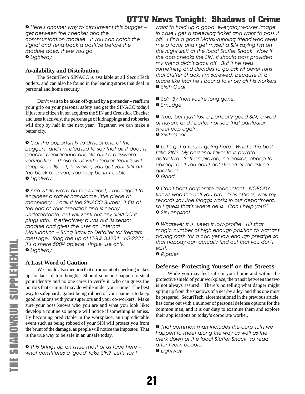<span id="page-20-0"></span>*» Here's another way to circumvent this bugger – get between the checker and the communication module. If you can catch the signal and send back a positive before the module does, there you go. » Lightway*

### **Availability and Distribution**

The SecuriTech SINACC is available at all SecuriTech outlets, and can also be found in the leading stores that deal in personal and home security.

Don't wait to be taken off-guard by a pretender – reaffirm your grip on your personal safety and get the SINACC today! If just one citizen in ten acquires the SIN and Credstick Checker and uses it actively, the percentage of kidnappings and robberies will drop by half in the next year. Together, we can make a better city.

*» Got the opportunity to dissect one of the buggers, and I'm pleased to say that all it does is generic background checks and a password verification. Those of us with decker friends will sleep soundly – if, however, you got your SIN off the back of a van, you may be in trouble. » Lightway*

*» And while we're on the subject, I managed to engineer a rather handsome little piece of machinery. I call it the SINACC Burner; it fits at the end of your credstick and is nearly undetectable, but will zonk out any SINACC it plugs into. It effectively burns out its sensor module and gives the user an 'Internal Malfunction – Bring Back to Detailer for Repairs' message. Ring me up at LTG# 34251 65-2221 ; it's a mere 500¥ apiece, single use only. » Lightway*

### **A Last Word of Caution**

We should also mention that no amount of checking makes up for lack of forethought. Should someone happen to steal your identity and no one cares to verify it, who can guess the horrors that criminal may do while under your name? The best way to safeguard against being robbed of your name is to keep good relations with your superiors and your co-workers. Make sure your boss knows who you are and what you look like; develop a routine so people will notice if something is amiss. By becoming predictable in the workplace, an unpredictable event such as being robbed of your SIN will protect you from the brunt of the damage, as people will notice the impostor. That is the true way to be safe in an unsafe today.

*» This brings up an issue most of us face here – what constitutes a 'good' fake SIN? Let's say I*

*want to hold up a good, everyday worker image in case I get a speeding ticket and want to pass it off. I find a good Matrix-running friend who owes me a favor and I get myself a SIN saying I'm on the night shift at the local Stuffer Shack. Now if the cop checks the SIN, it should pass provided my friend didn't slack off. But if he sees something and decides to go ask whoever runs that Stuffer Shack, I'm screwed, because in a place like that he's bound to know all his workers. » Sixth Gear*

*» So? By then you're long gone. » Smudge*

*» True, but I just lost a perfectly good SIN, a wad of nuyen, and I better not see that particular street cop again.*

*» Sixth Gear*

*» Let's get a forum going here. What's the best fake SIN? My personal favorite is private detective. Self-employed, no bosses, cheap to upkeep and you don't get stared at for asking questions. » Grind*

*» Can't beat corporate accountant. NOBODY knows who the hell you are. "Yes officer, well my records say Joe Bloggs works in our department, so I guess that's where he is. Can I help you?" » Sir Longshot*

*» Whatever it is, keep it low-profile. Hit that magic number of high enough position to warrant paying cash for a car, yet low enough prestige so that nobody can actually find out that you don't exist.*

*» Rippler*

### **Defense: Protecting Yourself on the Streets**

While you may feel safe in your home and within the protective shield of your workplace, the transit between the two is not always assured. There's no telling what danger might spring up from the shadows of a nearby alley, and thus one must be prepared. SecuriTech, aforementioned in the previous article, has come out with a number of personal defense options for the common man, and it is our duty to examine them and explore their applications on today's corporate worker.

*» That common man includes the corp suits we happen to meet along the way as well as the clerk down at the local Stuffer Shack, so read attentively, people. » Lightway*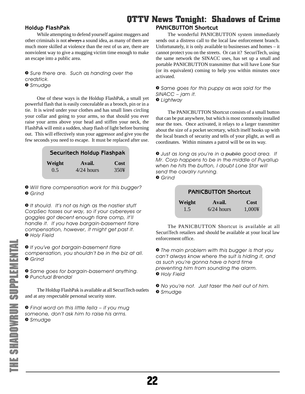#### <span id="page-21-0"></span>**Holdup FlashPak**

While attempting to defend yourself against muggers and other criminals is not always a sound idea, as many of them are much more skilled at violence than the rest of us are, there are nonviolent way to give a mugging victim time enough to make an escape into a public area.

*» Sure there are. Such as handing over the credstick. » Smudge*

One of these ways is the Holdup FlashPak, a small yet powerful flash that is easily concealable as a brooch, pin or in a tie. It is wired under your clothes and has small lines circling your collar and going to your arms, so that should you ever raise your arms above your head and stiffen your neck, the FlashPak will emit a sudden, sharp flash of light before burning out. This will effectively stun your aggressor and give you the few seconds you need to escape. It must be replaced after use.

# Securitech Holdup Flashpak

| Weight | Avail.       | Cost |
|--------|--------------|------|
| 0.5    | $4/24$ hours | 350¥ |

*» Will flare compensation work for this bugger? » Grind*

*» It should. It's not as high as the nastier stuff CorpSec tosses our way, so if your cybereyes or goggles got decent enough flare comp, it'll handle it. If you have bargain-basement flare compensation, however, it might get past it. » Holy Field*

*» If you've got bargain-basement flare compensation, you shouldn't be in the biz at all. » Grind*

*» Same goes for bargain-basement anything. » Punctual Brendal*

The Holdup FlashPak is available at all SecuriTech outlets and at any respectable personal security store.

*» Final word on this little fella – if you mug someone, don't ask him to raise his arms. » Smudge*

### **PANICBUTTON Shortcut**

The wonderful PANICBUTTON system immediately sends out a distress call to the local law enforcement branch. Unfortunately, it is only available to businesses and homes – it cannot protect you on the streets. Or can it? SecuriTech, using the same network the SINACC uses, has set up a small and portable PANICBUTTON transmitter that will have Lone Star (or its equivalent) coming to help you within minutes once activated.

*» Same goes for this puppy as was said for the SINACC – jam it. » Lightway*

The PANICBUTTON Shortcut consists of a small button that can be put anywhere, but which is most commonly installed near the toes. Once activated, it relays to a larger transmitter about the size of a pocket secretary, which itself hooks up with the local branch of security and tells of your plight, as well as coordinates. Within minutes a patrol will be on its way.

*» Just as long as you're in a public good area. If Mr. Corp happens to be in the middle of Puyallup when he hits the button, I doubt Lone Star will send the cavalry running. » Grind*

## **PANICBUTTON Shortcut**

| Weight | Avail.       | <b>Cost</b> |
|--------|--------------|-------------|
| 1.5    | $6/24$ hours | 1,000¥      |

The PANICBUTTON Shortcut is available at all SecuriTech retailers and should be available at your local law enforcement office.

*» The main problem with this bugger is that you can't always know where the suit is hiding it, and as such you're gonna have a hard time preventing him from sounding the alarm. » Holy Field*

*» No you're not. Just taser the hell out of him. » Smudge*

22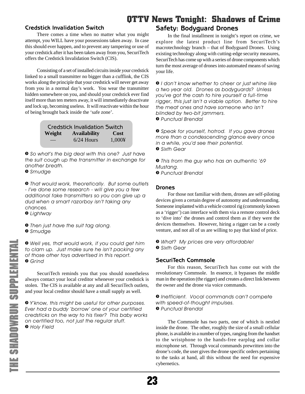### <span id="page-22-0"></span>**Credstick Invalidation Switch**

There comes a time when no matter what you might attempt, you WILL have your possessions taken away. In case this should ever happen, and to prevent any tampering or use of your credstick after it has been taken away from you, SecuriTech offers the Credstick Invalidation Switch (CIS).

Consisting of a set of installed circuits inside your credstick linked to a small transmitter no bigger than a cufflink, the CIS works along the principle that your credstick will never get away from you in a normal day's work. You wear the transmitter hidden somewhere on you, and should your credstick ever find itself more than ten meters away, it will immediately deactivate and lock up, becoming useless. It will reactivate within the hour of being brought back inside the 'safe zone'.

| <b>Credstick Invalidation Switch</b> |                     |        |
|--------------------------------------|---------------------|--------|
| Weight                               | <b>Availability</b> | Cost   |
|                                      | $6/24$ Hours        | 1.000¥ |

*» So what's the big deal with this one? Just have the suit cough up the transmitter in exchange for another breath.*

*» Smudge*

*» That would work, theoretically. But some outlets - I've done some research - will give you a few additional fake transmitters so you can give up a dud when a smart razorboy isn't taking any chances.*

*» Lightway*

*» Then just have the suit tag along. » Smudge*

*» Well yes, that would work, if you could get him to clam up. Just make sure he isn't packing any of those other toys advertised in this report. » Grind*

SecuriTech reminds you that you should nonetheless always contact your local creditor whenever your credstick is stolen. The CIS is available at any and all SecuriTech outlets, and your local creditor should have a small supply as well.

*» Y'know, this might be useful for other purposes. Ever had a buddy 'borrow' one of your certified credsticks on the way to his fixer? This baby works on certified too, not just the regular stuff. » Holy Field*

# **Safety: Bodyguard Drones**

In the final installment in tonight's report on crime, we explore the latest product line from SecuriTech's macrotechnology branch – that of Bodyguard Drones. Using existing technology along with cutting-edge security measures, SecuriTech has come up with a series of drone components which turn the most average of drones into automated means of saving your life.

*» I don't know whether to cheer or just whine like a two year old. Drones as bodyguards? Unless you've got the cash to hire yourself a full-time rigger, this just isn't a viable option. Better to hire the meat ones and have someone who isn't blinded by two-bit jammers. » Punctual Brendal*

*» Speak for yourself, hotrod. If you gave drones more than a condescending glance every once in a while, you'd see their potential. » Sixth Gear*

*» This from the guy who has an authentic '69 Mustang. » Punctual Brendal*

#### **Drones**

For those not familiar with them, drones are self-piloting devices given a certain degree of autonomy and understanding. Someone implanted with a vehicle control rig (commonly known as a 'rigger') can interface with them via a remote control deck to 'dive into' the drones and control them as if they were the devices themselves. However, hiring a rigger can be a costly venture, and not all of us are willing to pay that kind of price.

*» What? My prices are very affordable! » Sixth Gear*

# **SecuriTech Commsole**

For this reason, SecuriTech has come out with the revolutionary Commsole. In essence, it bypasses the middle man in the operation (the rigger) and creates a direct link between the owner and the drone via voice commands.

*» Inefficient. Vocal commands can't compete with speed-of-thought impulses. » Punctual Brendal*

The Commsole has two parts, one of which is nestled inside the drone. The other, roughly the size of a small cellular phone, is available in a number of types, ranging from the handset to the wristphone to the hands-free earplug and collar microphone set. Through vocal commands prewritten into the drone's code, the user gives the drone specific orders pertaining to the tasks at hand, all this without the need for expensive cybernetics.

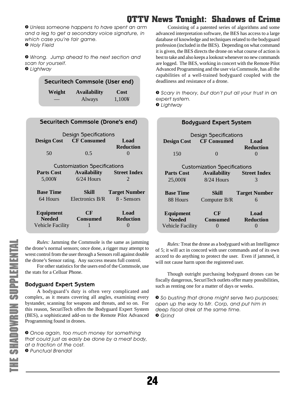<span id="page-23-0"></span>*» Unless someone happens to have spent an arm and a leg to get a secondary voice signature, in which case you're fair game. » Holy Field*

*» Wrong. Jump ahead to the next section and scan for yourself. » Lightway*

> Securitech Commsole (User end) **Weight Availability Cost** Always 1,100¥

| Securitech Commsole (Drone's end)   |                                             |                          |  |  |
|-------------------------------------|---------------------------------------------|--------------------------|--|--|
|                                     | Design Specifications                       |                          |  |  |
|                                     | <b>Design Cost CF Consumed</b>              | Load<br><b>Reduction</b> |  |  |
| 50                                  | 0.5                                         | $\mathbf{\Omega}$        |  |  |
| <b>Customization Specifications</b> |                                             |                          |  |  |
|                                     | <b>Parts Cost Availability Street Index</b> |                          |  |  |
| 5,000¥                              | $6/24$ Hours                                | $\mathcal{D}$            |  |  |
| <b>Base Time</b>                    | Skill – I                                   | <b>Target Number</b>     |  |  |
| 64 Hours –                          | Electronics B/R 8 - Sensors                 |                          |  |  |
| Equipment<br><b>Needed</b>          | CF<br>Consumed                              | Load<br><b>Reduction</b> |  |  |
| <b>Vehicle Facility</b>             | 1                                           |                          |  |  |

*Rules:* Jamming the Commsole is the same as jamming the drone's normal sensors; once done, a rigger may attempt to wrest control from the user through a Sensors roll against double the drone's Sensor rating. Any success means full control.

For other statistics for the users end of the Commsole, use the stats for a Celluar Phone.

### **Bodyguard Expert System**

A bodyguard's duty is often very complicated and complex, as it means covering all angles, examining every bystander, scanning for weapons and threats, and so on. For this reason, SecuriTech offers the Bodyguard Expert System (BES), a sophisticated add-on to the Remote Pilot Advanced Programming found in drones.

*» Once again, too much money for something that could just as easily be done by a meat body, at a fraction of the cost. » Punctual Brendal*

Consisting of a patented series of algorithms and some advanced interpretation software, the BES has access to a large database of knowledge and techniques related to the bodyguard profession (included in the BES). Depending on what command it is given, the BES directs the drone on what course of action is best to take and also keeps a lookout whenever no new commands are logged. The BES, working in concert with the Remote Pilot Advanced Programming and the user via Commsole, has all the capabilities of a well-trained bodyguard coupled with the deadliness and resistance of a drone.

*» Scary in theory, but don't put all your trust in an expert system. » Lightway*

| <b>Bodyquard Expert System</b> |                                            |                      |  |
|--------------------------------|--------------------------------------------|----------------------|--|
|                                | Design Specifications                      |                      |  |
| <b>Design Cost CF Consumed</b> |                                            | Load                 |  |
| 150                            | $\Omega$                                   | <b>Reduction</b>     |  |
|                                | <b>Customization Specifications</b>        |                      |  |
| <b>Parts Cost</b>              | <b>Street Index</b><br><b>Availability</b> |                      |  |
| 25,000¥                        | $8/24$ Hours                               | 3                    |  |
| <b>Base Time</b>               | Skill                                      | <b>Target Number</b> |  |
| 88 Hours                       | Computer B/R                               | 6                    |  |
| <b>Equipment</b>               | CF                                         | Load                 |  |
| <b>Needed</b>                  | <b>Consumed</b>                            | <b>Reduction</b>     |  |
| <b>Vehicle Facility</b>        | 0                                          |                      |  |

*Rules:* Treat the drone as a bodyguard with an Intelligence of 5; it will act in concord with user commands and of its own accord to do anything to protect the user. Even if jammed, it will not cause harm upon the registered user.

Though outright purchasing bodyguard drones can be fiscally dangerous, SecuriTech outlets offer many possibilities, such as renting one for a matter of days or weeks.

*» So busting that drone might serve two purposes; open up the way to Mr. Corp, and put him in deep fiscal drek at the same time. » Grind*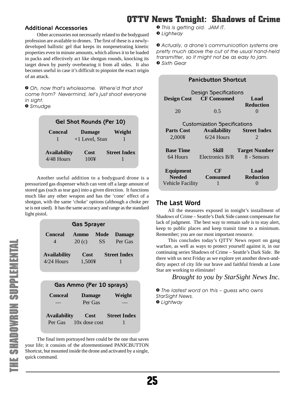#### <span id="page-24-0"></span>**Additional Accessories**

Other accessories not necessarily related to the bodyguard profession are available to drones. The first of these is a newlydeveloped ballistic gel that keeps its nonpenetrating kinetic properties even in minute amounts, which allows it to be loaded in packs and effectively act like shotgun rounds, knocking its target down by purely overbearing it from all sides. It also becomes useful in case it's difficult to pinpoint the exact origin of an attack.

*» Oh, now that's wholesome. Where'd that shot come from? Nevermind, let's just shoot everyone in sight.*

*» Smudge*

| Gel Shot Rounds (Per 10)            |                  |                     |
|-------------------------------------|------------------|---------------------|
| <b>Conceal</b>                      | <b>Damage</b>    | Weight              |
|                                     | $+1$ Level, Stun |                     |
| <b>Availability</b><br>$4/48$ Hours | Cost<br>100¥     | <b>Street Index</b> |

Another useful addition to a bodyguard drone is a pressurized gas dispenser which can vent off a large amount of stored gas (such as tear gas) into a given direction. It functions much like any other weapon and has the 'cone' effect of a shotgun, with the same 'choke' options (although a choke per se is not used). It has the same accuracy and range as the standard light pistol.

| <b>Gas Sprayer</b>                  |                |                   |                          |
|-------------------------------------|----------------|-------------------|--------------------------|
| <b>Conceal</b>                      | Ammo<br>20(c)  | Mode<br><b>SS</b> | <b>Damage</b><br>Per Gas |
| <b>Availability</b><br>$4/24$ Hours | Cost<br>1,500¥ |                   | <b>Street Index</b>      |

| Gas Ammo (Per 10 sprays)       |                         |                     |  |
|--------------------------------|-------------------------|---------------------|--|
| <b>Conceal</b>                 | <b>Damage</b>           | Weight              |  |
|                                | Per Gas                 |                     |  |
| <b>Availability</b><br>Per Gas | Cost<br>$10x$ dose cost | <b>Street Index</b> |  |

The final item portrayed here could be the one that saves your life; it consists of the aforementioned PANICBUTTON Shortcut, but mounted inside the drone and activated by a single, quick command.

- *» This is getting old. JAM IT.*
- *» Lightway*

*» Actually, a drone's communication systems are pretty much above the cut of the usual hand-held transmitter, so it might not be as easy to jam. » Sixth Gear*

| <b>Panicbutton Shortcut</b>         |                                                           |  |  |  |
|-------------------------------------|-----------------------------------------------------------|--|--|--|
| Design Specifications               |                                                           |  |  |  |
|                                     | Load<br><b>Reduction</b>                                  |  |  |  |
| 0.5                                 |                                                           |  |  |  |
| <b>Customization Specifications</b> |                                                           |  |  |  |
|                                     | <b>Availability</b> Street Index                          |  |  |  |
| $6/24$ Hours                        | $\mathcal{D}_{\cdot}$                                     |  |  |  |
| Skill                               | <b>Target Number</b>                                      |  |  |  |
| Electronics B/R                     | 8 - Sensors                                               |  |  |  |
| CF<br>Consumed<br>1                 | Load<br><b>Reduction</b>                                  |  |  |  |
|                                     | <b>Design Cost CF Consumed</b><br><b>Vehicle Facility</b> |  |  |  |

# **The Last Word**

All the measures exposed in tonight's installment of Shadows of Crime – Seattle's Dark Side cannot compensate for lack of judgment. The best way to remain safe is to stay alert, keep to public places and keep transit time to a minimum. Remember; you are our most important resource.

This concludes today's QTTV News report on gang warfare, as well as ways to protect yourself against it, in our continuing series Shadows of Crime – Seattle's Dark Side. Be there with us next Friday as we explore yet another down-anddirty aspect of city life our brave and faithful friends at Lone Star are working to eliminate!

*Brought to you by StarSight News Inc.*

*» The lastest word on this – guess who owns StarSight News. » Lightway*

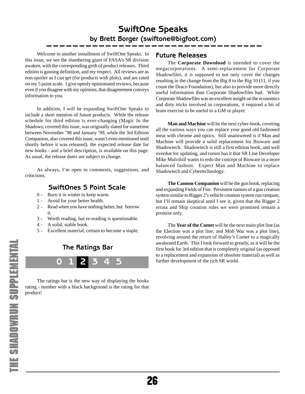# **SwiftOne Speaks by Brett Borger (swiftone@bigfoot.com)**

<span id="page-25-0"></span>Welcome to another installment of SwiftOne Speaks. In this issue, we see the slumbering giant of FASA's SR division awaken, with the corresponding girth of product releases. Third edition is gaining definition, and my respect. All reviews are as non-spoiler as I can get (for products with plots), and are rated on my 5 point scale. I give openly opinionated reviews, because even if you disagree with my opinions, that disagreement conveys information to you.

In addition, I will be expanding SwiftOne Speaks to include a short mention of future products. While the release schedule for third edition is ever-changing (Magic In the Shadows, covered this issue, was originally slated for sometime between November '98 and January '99, while the 3rd Edition Companion, also covered this issue, wasn't even mentioned until shortly before it was released), the expected release date for new books - and a brief description, is available on this page. As usual, the release dates are subject to change.

As always, I'm open to comments, suggestions, and criticisms.

### **SwiftOnes 5 Point Scale**

- 0 Burn it in winter to keep warm.
- 1 Avoid for your better health.
- 2 Read when you have nothing better, but borrow it.
- 3 Worth reading, but re-reading is questionable.
- 4 A solid, stable book.
- 5 Excellent material, certain to become a staple.

**0 1 2 3 4 5 The Ratings Bar**

The ratings bar is the new way of displaying the books rating - number with a black background is the rating for that product!

# **Future Releases**

The **Corporate Download** is intended to cover the megacorporations. A semi-replacement for Corporate Shadowfiles, it is supposed to not only cover the changes resulting in the change from the Big 8 to the Big 10 (11, if you count the Draco Foundation), but also to provide more directly useful information than Corporate Shadowfiles had. While Corporate Shadowfiles was an excellent insight on the economics and dirty tricks involved in corporations, it required a bit of brain exercise to be useful to a GM or player.

**Man and Machine** will be the next cyber-book, covering all the various ways you can replace your good old fashioned meat with chrome and optics. Still unanswered is if Man and Machine will provide a solid replacement for Bioware and Shadowtech. Shadowtech is still a first edition book, and well overdue for updating, and rumor has it that SR Line Developer Mike Mulvihill wants to redo the concept of Bioware in a more balanced fashion. Expect Man and Machine to replace Shadowtech and Cybertechnology.

**The Cannon Companion** will be the gun book, replacing and expanding Fields of Fire. Persistent rumors of a gun creation system similar to Rigger 2's vehicle creation system run rampant, but I'll remain skeptical until I see it, given that the Rigger 2 errata and Ship creation rules we were promised remain a promise only.

The **Year of the Comet** will be the next main plot line (as the Election was a plot line, and Mob War was a plot line), revolving around the return of Halley's Comet to a magically awakened Earth. This I look forward to greatly, as it will be the first book for 3rd edition that is completely original (as opposed to a replacement and expansion of obsolete material) as well as further development of the rich SR world.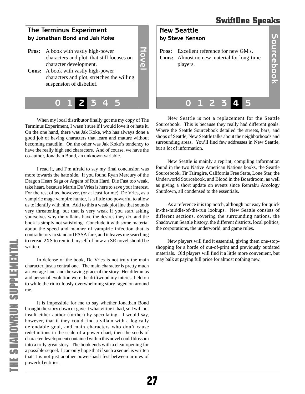<span id="page-26-0"></span>

When my local distributor finally got me my copy of The Terminus Experiment, I wasn't sure if I would love it or hate it. On the one hand, there was Jak Koke, who has always done a good job of having characters that learn and mature without becoming maudlin. On the other was Jak Koke's tendency to have the really high end characters. And of course, we have the co-author, Jonathan Bond, an unknown variable.

I read it, and I'm afraid to say my final conclusion was more towards the hate side. If you found Ryan Mercury of the Dragon Heart Saga or Argent of Run Hard, Die Fast too weak, take heart, because Martin De Vries is here to save your interest. For the rest of us, however, (or at least for me), De Vries, as a vampiric mage vampire hunter, is a little too powerful to allow us to identify with him. Add to this a weak plot line that sounds very threatening, but that is very weak if you start asking yourselves why the villains have the desires they do, and the book is simply not satisfying. Conclude it with some material about the speed and manner of vampiric infection that is contradictory to standard FASA fare, and it leaves me searching to reread 2XS to remind myself of how an SR novel should be written.

In defense of the book, De Vries is not truly the main character, just a central one. The main character is pretty much an average Jane, and the saving grace of the story. Her dilemmas and personal evolution were the driftwood my interest held on to while the ridiculously overwhelming story raged on around me.

It is impossible for me to say whether Jonathan Bond brought the story down or gave it what virtue it had, so I will not insult either author (further) by speculating. I would say, however, that if they could find a villain with a logically defendable goal, and main characters who don't cause redefinitions in the scale of a power chart, then the seeds of character development contained within this novel could blossom into a truly great story. The book ends with a clear opening for a possible sequel. I can only hope that if such a sequel is written that it is not just another power-bash fest between armies of powerful entities.



New Seattle is not a replacement for the Seattle Sourcebook. This is because they really had different goals. Where the Seattle Sourcebook detailed the streets, bars, and shops of Seattle, New Seattle talks about the neighborhoods and surrounding areas. You'll find few addresses in New Seattle, but a lot of information.

New Seattle is mainly a reprint, compiling information found in the two Native American Nations books, the Seattle Sourcebook, Tir Tairngire, California Free State, Lone Star, the Underworld Sourcebook, and Blood in the Boardroom, as well as giving a short update on events since Renraku Arcology Shutdown, all condensed to the essentials.

As a reference it is top notch, although not easy for quick in-the-middle-of-the-run lookups. New Seattle consists of different sections, covering the surrounding nations, the Shadowrun Seattle history, the different districts, local politics, the corporations, the underworld, and game rules.

New players will find it essential, giving them one-stopshopping for a horde of out-of-print and previously outdated materials. Old players will find it a little more convenient, but may balk at paying full price for almost nothing new.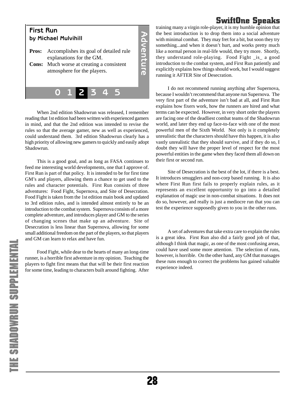# **SwiftOne Speaks**

<span id="page-27-0"></span>

When 2nd edition Shadowrun was released, I remember reading that 1st edition had been written with experienced gamers in mind, and that the 2nd edition was intended to revise the rules so that the average gamer, new as well as experienced, could understand them. 3rd edition Shadowrun clearly has a high priority of allowing new gamers to quickly and easily adopt Shadowrun.

This is a good goal, and as long as FASA continues to feed me interesting world developments, one that I approve of. First Run is part of that policy. It is intended to be for first time GM's and players, allowing them a chance to get used to the rules and character potentials. First Run consists of three adventures: Food Fight, Supernova, and Site of Desecration. Food Fight is taken from the 1st edition main book and updated to 3rd edition rules, and is intended almost entirely to be an introduction to the combat system. Supernova consists of a more complete adventure, and introduces player and GM to the series of changing scenes that make up an adventure. Site of Desecration is less linear than Supernova, allowing for some small additional freedom on the part of the players, so that players and GM can learn to relax and have fun.

Food Fight, while dear to the hearts of many an long-time runner, is a horrible first adventure in my opinion. Teaching the players to fight first means that that will be their first reaction for some time, leading to characters built around fighting. After training many a virgin role-player, it is my humble opinion that the best introduction is to drop them into a social adventure with minimal combat. They may fret for a bit, but soon they try something...and when it doesn't hurt, and works pretty much like a normal person in real-life would, they try more. Shortly, they understand role-playing. Food Fight \_is\_ a good introduction to the combat system, and First Run patiently and explicitly explains how things should work, but I would suggest running it AFTER Site of Desecration.

I do not recommend running anything after Supernova, because I wouldn't recommend that anyone run Supernova. The very first part of the adventure isn't bad at all, and First Run explains how fixers work, how the runners are hired and what terms can be expected. However, in very short order the players are facing one of the deadliest combat teams of the Shadowrun world, and later they end up face-to-face with one of the most powerful men of the Sixth World. Not only is it completely unrealistic that the characters should have this happen, it is also vastly unrealistic that they should survive, and if they do so, I doubt they will have the proper level of respect for the most powerful entities in the game when they faced them all down on their first or second run.

Site of Desecration is the best of the lot, if there is a best. It introduces smugglers and non-corp based running. It is also where First Run first fails to properly explain rules, as it represents an excellent opportunity to go into a detailed explanation of magic use in non-combat situations. It does not do so, however, and really is just a mediocre run that you can test the experience supposedly given to you in the other runs.

A set of adventures that take extra care to explain the rules is a great idea. First Run also did a fairly good job of that, although I think that magic, as one of the most confusing areas, could have used some more attention. The selection of runs, however, is horrible. On the other hand, any GM that massages these runs enough to correct the problems has gained valuable experience indeed.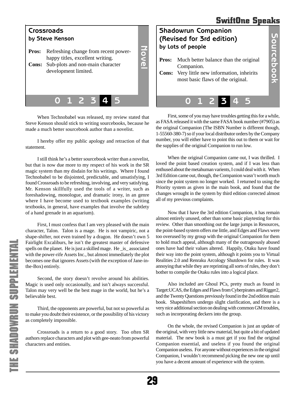# **SwiftOne Speaks**

<span id="page-28-0"></span>

When Technobabel was released, my review stated that Steve Kenson should stick to writing sourcebooks, because he made a much better sourcebook author than a novelist.

I hereby offer my public apology and retraction of that statement.

I still think he's a better sourcebook writer than a novelist, but that is now due more to my respect of his work in the SR magic system than my disdain for his writings. Where I found Technobabel to be disjointed, predictable, and unsatisfying, I found Crossroads to be refreshing, involving, and very satisfying. Mr. Kenson skillfully used the tools of a writer, such as foreshadowing, monologue, and dramatic irony, in an genre where I have become used to textbook examples (writing textbooks, in general, have examples that involve the subtlety of a hand grenade in an aquarium).

First, I must confess that I am very pleased with the main character, Talon. Talon is a mage. He is not vampiric, not a shape-shifter, not even trained by a dragon. He doesn't own 5 Fairlight Excaliburs, he isn't the greatest master of defensive spells on the planet. He is just a skilled mage. He \_is\_ associated with the power-rife Assets Inc., but almost immediately the plot becomes one that ignores Assets (with the exception of Jane-inthe-Box) entirely.

Second, the story doesn't revolve around his abilities. Magic is used only occasionally, and isn't always successful. Talon may very well be the best mage in the world, but he's a believable best.

Third, the opponents are powerful, but not so powerful as to make you doubt their existence, or the possibility of his victory as completely impossible.

Crossroads is a return to a good story. Too often SR authors replace characters and plot with gee-neato from powerful characters and entities.



First, some of you may have troubles getting this for a while, as FASA released it with the same FASA book number (#7905) as the original Companion (The ISBN Number is different though, 1-55560-380-7) so if your local distributor orders by the Company number, you will either have to point this out to them or wait for the supplies of the original Companion to run low.

When the original Companion came out, I was thrilled. I loved the point based creation system, and if I was less than enthused about the metahuman varients, I could deal with it. When 3rd Edition came out, though, the Companion wasn't worth much since the point system no longer worked. I returned to using the Priority system as given in the main book, and found that the changes wrought in the system by third edition corrected almost all of my previous complaints.

Now that I have the 3rd edition Companion, it has remain almost entirely unused, other than some basic playtesting for this review. Other than smoothing out the large jumps in Resources, the point-based system offers me little, and Edges and Flaws were too overused by my group with the original Companion for them to hold much appeal, although many of the outrageously abused ones have had their values altered. Happily, Otaku have found their way into the point system, although it points you to Virtual Realities 2.0 and Renraku Arcology Shutdown for rules. It was annoying that while they are reprinting all sorts of rules, they don't bother to compile the Otaku rules into a logical place.

Also included are Ghoul PCs, pretty much as found in Target:UCAS, the Edges and Flaws from Cyberpirates and Rigger2, and the Twenty Questions previously found in the 2nd edition main book. Shapeshifters undergo slight clarification, and there is a very nice additional section on dealing with common GM troubles, such as incorporating deckers into the group.

On the whole, the revised Companion is just an update of the original, with very little new material, but quite a bit of updated material. The new book is a must get if you find the original Companion essential, and useless if you found the original Companion useless. For anyone without experiences in the original Companion, I wouldn't recommend picking the new one up until you have a decent amount of experience with the system.